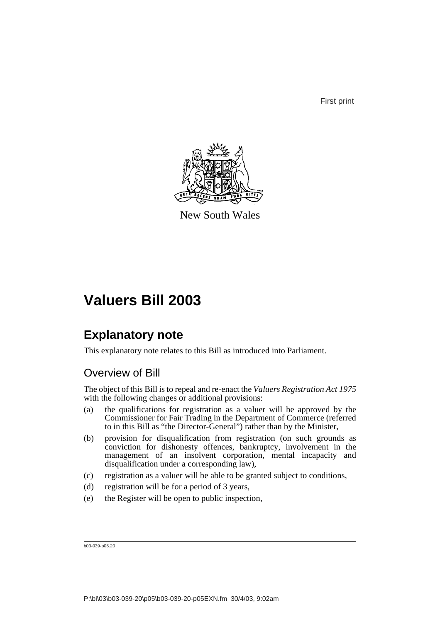First print



New South Wales

# **Valuers Bill 2003**

## **Explanatory note**

This explanatory note relates to this Bill as introduced into Parliament.

## Overview of Bill

The object of this Bill is to repeal and re-enact the *Valuers Registration Act 1975* with the following changes or additional provisions:

- (a) the qualifications for registration as a valuer will be approved by the Commissioner for Fair Trading in the Department of Commerce (referred to in this Bill as "the Director-General") rather than by the Minister,
- (b) provision for disqualification from registration (on such grounds as conviction for dishonesty offences, bankruptcy, involvement in the management of an insolvent corporation, mental incapacity and disqualification under a corresponding law),
- (c) registration as a valuer will be able to be granted subject to conditions,
- (d) registration will be for a period of 3 years,
- (e) the Register will be open to public inspection,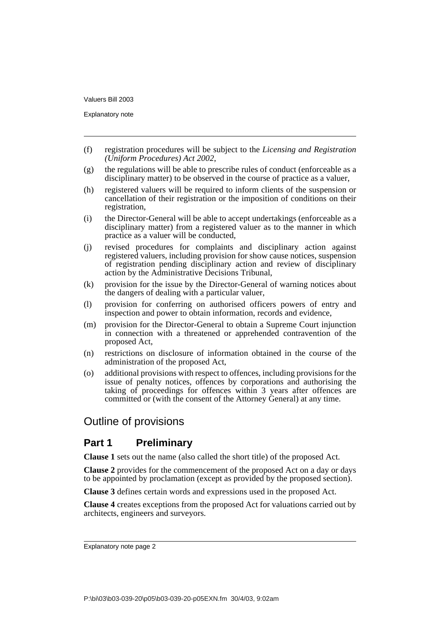Explanatory note

- (f) registration procedures will be subject to the *Licensing and Registration (Uniform Procedures) Act 2002*,
- (g) the regulations will be able to prescribe rules of conduct (enforceable as a disciplinary matter) to be observed in the course of practice as a valuer,
- (h) registered valuers will be required to inform clients of the suspension or cancellation of their registration or the imposition of conditions on their registration,
- (i) the Director-General will be able to accept undertakings (enforceable as a disciplinary matter) from a registered valuer as to the manner in which practice as a valuer will be conducted,
- (j) revised procedures for complaints and disciplinary action against registered valuers, including provision for show cause notices, suspension of registration pending disciplinary action and review of disciplinary action by the Administrative Decisions Tribunal,
- (k) provision for the issue by the Director-General of warning notices about the dangers of dealing with a particular valuer,
- (l) provision for conferring on authorised officers powers of entry and inspection and power to obtain information, records and evidence,
- (m) provision for the Director-General to obtain a Supreme Court injunction in connection with a threatened or apprehended contravention of the proposed Act,
- (n) restrictions on disclosure of information obtained in the course of the administration of the proposed Act,
- (o) additional provisions with respect to offences, including provisions for the issue of penalty notices, offences by corporations and authorising the taking of proceedings for offences within 3 years after offences are committed or (with the consent of the Attorney General) at any time.

## Outline of provisions

## **Part 1 Preliminary**

**Clause 1** sets out the name (also called the short title) of the proposed Act.

**Clause 2** provides for the commencement of the proposed Act on a day or days to be appointed by proclamation (except as provided by the proposed section).

**Clause 3** defines certain words and expressions used in the proposed Act.

**Clause 4** creates exceptions from the proposed Act for valuations carried out by architects, engineers and surveyors.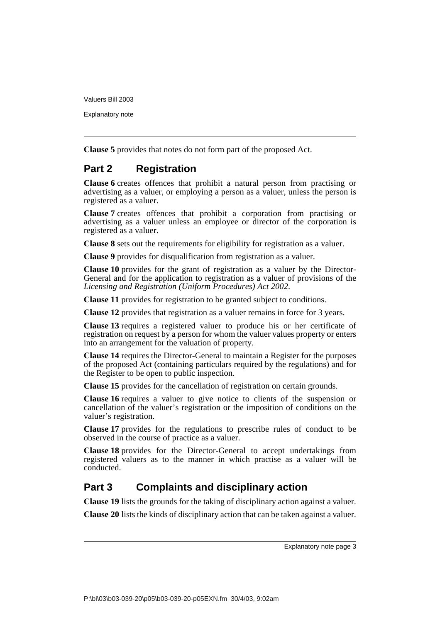Explanatory note

**Clause 5** provides that notes do not form part of the proposed Act.

## **Part 2 Registration**

**Clause 6** creates offences that prohibit a natural person from practising or advertising as a valuer, or employing a person as a valuer, unless the person is registered as a valuer.

**Clause 7** creates offences that prohibit a corporation from practising or advertising as a valuer unless an employee or director of the corporation is registered as a valuer.

**Clause 8** sets out the requirements for eligibility for registration as a valuer.

**Clause 9** provides for disqualification from registration as a valuer.

**Clause 10** provides for the grant of registration as a valuer by the Director-General and for the application to registration as a valuer of provisions of the *Licensing and Registration (Uniform Procedures) Act 2002*.

**Clause 11** provides for registration to be granted subject to conditions.

**Clause 12** provides that registration as a valuer remains in force for 3 years.

**Clause 13** requires a registered valuer to produce his or her certificate of registration on request by a person for whom the valuer values property or enters into an arrangement for the valuation of property.

**Clause 14** requires the Director-General to maintain a Register for the purposes of the proposed Act (containing particulars required by the regulations) and for the Register to be open to public inspection.

**Clause 15** provides for the cancellation of registration on certain grounds.

**Clause 16** requires a valuer to give notice to clients of the suspension or cancellation of the valuer's registration or the imposition of conditions on the valuer's registration.

**Clause 17** provides for the regulations to prescribe rules of conduct to be observed in the course of practice as a valuer.

**Clause 18** provides for the Director-General to accept undertakings from registered valuers as to the manner in which practise as a valuer will be conducted.

## **Part 3 Complaints and disciplinary action**

**Clause 19** lists the grounds for the taking of disciplinary action against a valuer.

**Clause 20** lists the kinds of disciplinary action that can be taken against a valuer.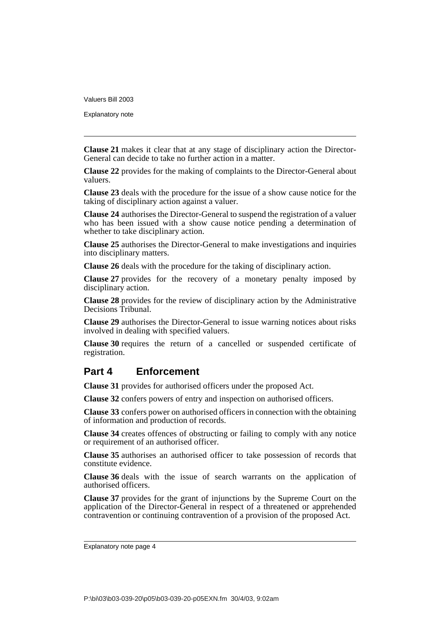Explanatory note

**Clause 21** makes it clear that at any stage of disciplinary action the Director-General can decide to take no further action in a matter.

**Clause 22** provides for the making of complaints to the Director-General about valuers.

**Clause 23** deals with the procedure for the issue of a show cause notice for the taking of disciplinary action against a valuer.

**Clause 24** authorises the Director-General to suspend the registration of a valuer who has been issued with a show cause notice pending a determination of whether to take disciplinary action.

**Clause 25** authorises the Director-General to make investigations and inquiries into disciplinary matters.

**Clause 26** deals with the procedure for the taking of disciplinary action.

**Clause 27** provides for the recovery of a monetary penalty imposed by disciplinary action.

**Clause 28** provides for the review of disciplinary action by the Administrative Decisions Tribunal.

**Clause 29** authorises the Director-General to issue warning notices about risks involved in dealing with specified valuers.

**Clause 30** requires the return of a cancelled or suspended certificate of registration.

## **Part 4 Enforcement**

**Clause 31** provides for authorised officers under the proposed Act.

**Clause 32** confers powers of entry and inspection on authorised officers.

**Clause 33** confers power on authorised officers in connection with the obtaining of information and production of records.

**Clause 34** creates offences of obstructing or failing to comply with any notice or requirement of an authorised officer.

**Clause 35** authorises an authorised officer to take possession of records that constitute evidence.

**Clause 36** deals with the issue of search warrants on the application of authorised officers.

**Clause 37** provides for the grant of injunctions by the Supreme Court on the application of the Director-General in respect of a threatened or apprehended contravention or continuing contravention of a provision of the proposed Act.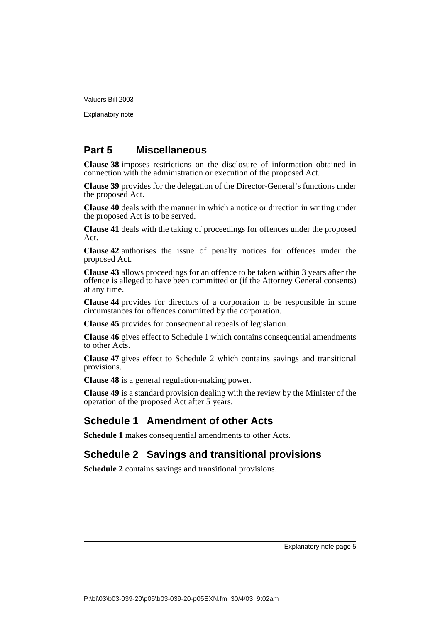Explanatory note

## **Part 5 Miscellaneous**

**Clause 38** imposes restrictions on the disclosure of information obtained in connection with the administration or execution of the proposed Act.

**Clause 39** provides for the delegation of the Director-General's functions under the proposed Act.

**Clause 40** deals with the manner in which a notice or direction in writing under the proposed Act is to be served.

**Clause 41** deals with the taking of proceedings for offences under the proposed Act.

**Clause 42** authorises the issue of penalty notices for offences under the proposed Act.

**Clause 43** allows proceedings for an offence to be taken within 3 years after the offence is alleged to have been committed or (if the Attorney General consents) at any time.

**Clause 44** provides for directors of a corporation to be responsible in some circumstances for offences committed by the corporation.

**Clause 45** provides for consequential repeals of legislation.

**Clause 46** gives effect to Schedule 1 which contains consequential amendments to other Acts.

**Clause 47** gives effect to Schedule 2 which contains savings and transitional provisions.

**Clause 48** is a general regulation-making power.

**Clause 49** is a standard provision dealing with the review by the Minister of the operation of the proposed Act after 5 years.

## **Schedule 1 Amendment of other Acts**

**Schedule 1** makes consequential amendments to other Acts.

## **Schedule 2 Savings and transitional provisions**

**Schedule 2** contains savings and transitional provisions.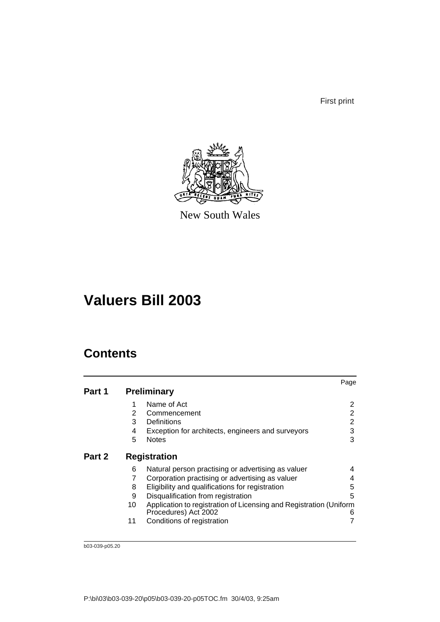First print



New South Wales

# **Valuers Bill 2003**

## **Contents**

|        |    |                                                                                            | Page           |
|--------|----|--------------------------------------------------------------------------------------------|----------------|
| Part 1 |    | <b>Preliminary</b>                                                                         |                |
|        | 1  | Name of Act                                                                                | 2              |
|        | 2  | Commencement                                                                               | 2              |
|        | 3  | Definitions                                                                                | $\overline{2}$ |
|        | 4  | Exception for architects, engineers and surveyors                                          | 3              |
|        | 5  | <b>Notes</b>                                                                               | 3              |
| Part 2 |    | <b>Registration</b>                                                                        |                |
|        | 6  | Natural person practising or advertising as valuer                                         | 4              |
|        | 7  | Corporation practising or advertising as valuer                                            | 4              |
|        | 8  | Eligibility and qualifications for registration                                            | 5              |
|        | 9  | Disqualification from registration                                                         | 5              |
|        | 10 | Application to registration of Licensing and Registration (Uniform<br>Procedures) Act 2002 | 6              |
|        | 11 | Conditions of registration                                                                 |                |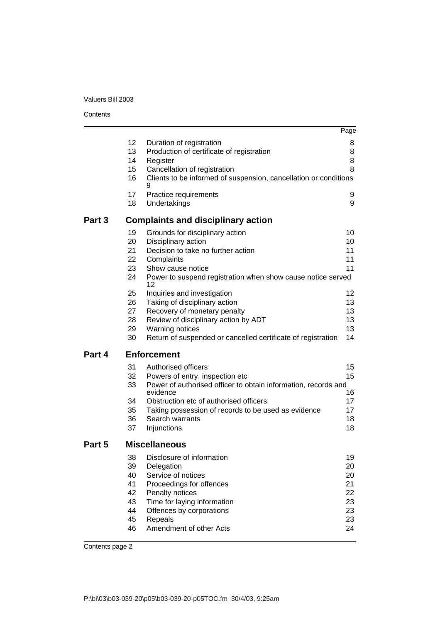**Contents** 

|        |                                                                |                                                                                                                                                                                                                                                                                                                                                                 | Page                                                     |
|--------|----------------------------------------------------------------|-----------------------------------------------------------------------------------------------------------------------------------------------------------------------------------------------------------------------------------------------------------------------------------------------------------------------------------------------------------------|----------------------------------------------------------|
|        | 12<br>13<br>14<br>15                                           | Duration of registration<br>Production of certificate of registration<br>Register<br>Cancellation of registration                                                                                                                                                                                                                                               | 8<br>8<br>8<br>8                                         |
|        | 16                                                             | Clients to be informed of suspension, cancellation or conditions<br>9                                                                                                                                                                                                                                                                                           |                                                          |
|        | 17<br>18                                                       | Practice requirements<br>Undertakings                                                                                                                                                                                                                                                                                                                           | 9<br>9                                                   |
| Part 3 |                                                                | <b>Complaints and disciplinary action</b>                                                                                                                                                                                                                                                                                                                       |                                                          |
|        | 19<br>20<br>21<br>22<br>23<br>24<br>25<br>26<br>27<br>28<br>29 | Grounds for disciplinary action<br>Disciplinary action<br>Decision to take no further action<br>Complaints<br>Show cause notice<br>Power to suspend registration when show cause notice served<br>12<br>Inquiries and investigation<br>Taking of disciplinary action<br>Recovery of monetary penalty<br>Review of disciplinary action by ADT<br>Warning notices | 10<br>10<br>11<br>11<br>11<br>12<br>13<br>13<br>13<br>13 |
|        | 30                                                             | Return of suspended or cancelled certificate of registration                                                                                                                                                                                                                                                                                                    | 14                                                       |
| Part 4 | 31<br>32<br>33<br>34<br>35<br>36<br>37                         | <b>Enforcement</b><br>Authorised officers<br>Powers of entry, inspection etc<br>Power of authorised officer to obtain information, records and<br>evidence<br>Obstruction etc of authorised officers<br>Taking possession of records to be used as evidence<br>Search warrants<br>Injunctions                                                                   | 15<br>15<br>16<br>17<br>17<br>18<br>18                   |
| Part 5 |                                                                | <b>Miscellaneous</b>                                                                                                                                                                                                                                                                                                                                            |                                                          |
|        | 38<br>39<br>40<br>41<br>42<br>43<br>44<br>45<br>46             | Disclosure of information<br>Delegation<br>Service of notices<br>Proceedings for offences<br>Penalty notices<br>Time for laying information<br>Offences by corporations<br>Repeals<br>Amendment of other Acts                                                                                                                                                   | 19<br>20<br>20<br>21<br>22<br>23<br>23<br>23<br>24       |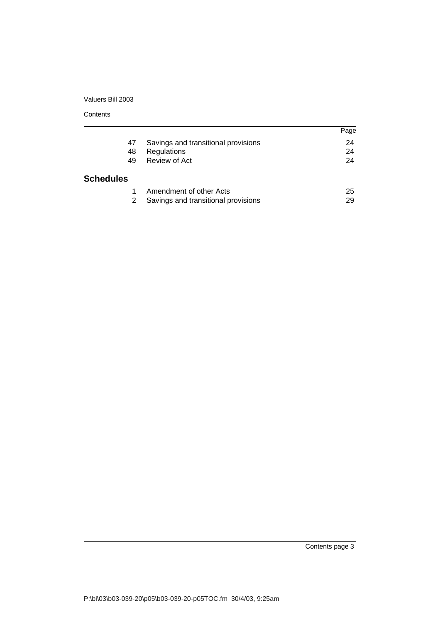**Contents** 

|                  |                                     | Page |
|------------------|-------------------------------------|------|
|                  |                                     |      |
| 47               | Savings and transitional provisions | 24   |
| 48               | Regulations                         | 24   |
| 49               | Review of Act                       | 24   |
| <b>Schedules</b> |                                     |      |
|                  | Amendment of other Acts             | 25   |
|                  | Savings and transitional provisions | 29   |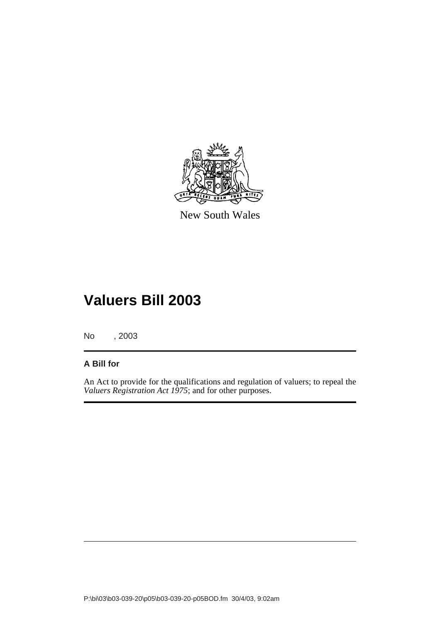

New South Wales

No , 2003

## **A Bill for**

An Act to provide for the qualifications and regulation of valuers; to repeal the *Valuers Registration Act 1975*; and for other purposes.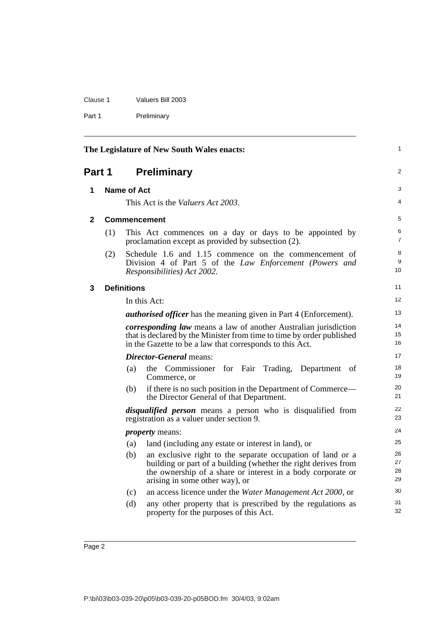| Clause 1 | Valuers Bill 2003 |
|----------|-------------------|
| Part 1   | Preliminary       |

<span id="page-11-3"></span><span id="page-11-2"></span><span id="page-11-1"></span><span id="page-11-0"></span>

| The Legislature of New South Wales enacts: |     |                    | $\mathbf{1}$                                                                                                                                                                                                                  |                      |
|--------------------------------------------|-----|--------------------|-------------------------------------------------------------------------------------------------------------------------------------------------------------------------------------------------------------------------------|----------------------|
| Part 1                                     |     |                    | <b>Preliminary</b>                                                                                                                                                                                                            | 2                    |
| 1                                          |     | Name of Act        |                                                                                                                                                                                                                               | 3                    |
|                                            |     |                    | This Act is the Valuers Act 2003.                                                                                                                                                                                             | 4                    |
| 2                                          |     |                    | <b>Commencement</b>                                                                                                                                                                                                           | 5                    |
|                                            | (1) |                    | This Act commences on a day or days to be appointed by<br>proclamation except as provided by subsection (2).                                                                                                                  | 6<br>$\overline{7}$  |
|                                            | (2) |                    | Schedule 1.6 and 1.15 commence on the commencement of<br>Division 4 of Part 5 of the Law Enforcement (Powers and<br>Responsibilities) Act 2002.                                                                               | 8<br>9<br>10         |
| 3                                          |     | <b>Definitions</b> |                                                                                                                                                                                                                               | 11                   |
|                                            |     |                    | In this Act:                                                                                                                                                                                                                  | 12                   |
|                                            |     |                    | <b><i>authorised officer</i></b> has the meaning given in Part 4 (Enforcement).                                                                                                                                               | 13                   |
|                                            |     |                    | <i>corresponding law</i> means a law of another Australian jurisdiction<br>that is declared by the Minister from time to time by order published<br>in the Gazette to be a law that corresponds to this Act.                  | 14<br>15<br>16       |
|                                            |     |                    | <b>Director-General</b> means:                                                                                                                                                                                                | 17                   |
|                                            |     | (a)                | the Commissioner for Fair<br>Trading,<br>Department<br>of<br>Commerce, or                                                                                                                                                     | 18<br>19             |
|                                            |     | (b)                | if there is no such position in the Department of Commerce—<br>the Director General of that Department.                                                                                                                       | 20<br>21             |
|                                            |     |                    | <i>disqualified person</i> means a person who is disqualified from<br>registration as a valuer under section 9.                                                                                                               | 22<br>23             |
|                                            |     |                    | <i>property</i> means:                                                                                                                                                                                                        | 24                   |
|                                            |     | (a)                | land (including any estate or interest in land), or                                                                                                                                                                           | 25                   |
|                                            |     | (b)                | an exclusive right to the separate occupation of land or a<br>building or part of a building (whether the right derives from<br>the ownership of a share or interest in a body corporate or<br>arising in some other way), or | 26<br>27<br>28<br>29 |
|                                            |     | (c)                | an access licence under the Water Management Act 2000, or                                                                                                                                                                     | 30                   |
|                                            |     | (d)                | any other property that is prescribed by the regulations as<br>property for the purposes of this Act.                                                                                                                         | 31<br>32             |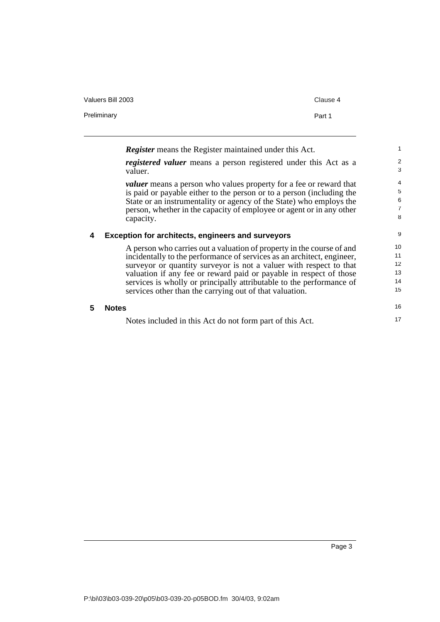| Valuers Bill 2003 | Clause 4 |
|-------------------|----------|
| Preliminary       | Part 1   |

<span id="page-12-1"></span><span id="page-12-0"></span>

|   | <b>Register</b> means the Register maintained under this Act.                                                                                                                                                                                                                                                                                                                                                                  | $\mathbf{1}$                                    |
|---|--------------------------------------------------------------------------------------------------------------------------------------------------------------------------------------------------------------------------------------------------------------------------------------------------------------------------------------------------------------------------------------------------------------------------------|-------------------------------------------------|
|   | <i>registered valuer</i> means a person registered under this Act as a<br>valuer.                                                                                                                                                                                                                                                                                                                                              | $\mathbf{2}$<br>3                               |
|   | <i>valuer</i> means a person who values property for a fee or reward that<br>is paid or payable either to the person or to a person (including the<br>State or an instrumentality or agency of the State) who employs the<br>person, whether in the capacity of employee or agent or in any other<br>capacity.                                                                                                                 | $\overline{4}$<br>5<br>6<br>$\overline{7}$<br>8 |
| 4 | <b>Exception for architects, engineers and surveyors</b>                                                                                                                                                                                                                                                                                                                                                                       | 9                                               |
|   | A person who carries out a valuation of property in the course of and<br>incidentally to the performance of services as an architect, engineer,<br>surveyor or quantity surveyor is not a valuer with respect to that<br>valuation if any fee or reward paid or payable in respect of those<br>services is wholly or principally attributable to the performance of<br>services other than the carrying out of that valuation. | 10<br>11<br>12<br>13<br>14<br>15                |
| 5 | <b>Notes</b>                                                                                                                                                                                                                                                                                                                                                                                                                   | 16                                              |
|   | Notes included in this Act do not form part of this Act.                                                                                                                                                                                                                                                                                                                                                                       | 17                                              |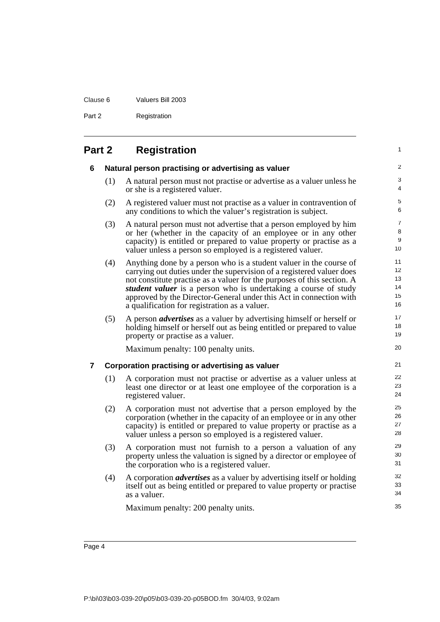## Clause 6 Valuers Bill 2003 Part 2 Registration

<span id="page-13-2"></span><span id="page-13-1"></span><span id="page-13-0"></span>

| Part 2 |     | <b>Registration</b>                                                                                                                                                                                                                                                                                                                                                                                              |                                  |
|--------|-----|------------------------------------------------------------------------------------------------------------------------------------------------------------------------------------------------------------------------------------------------------------------------------------------------------------------------------------------------------------------------------------------------------------------|----------------------------------|
| 6      |     | Natural person practising or advertising as valuer                                                                                                                                                                                                                                                                                                                                                               | 2                                |
|        | (1) | A natural person must not practise or advertise as a valuer unless he<br>or she is a registered valuer.                                                                                                                                                                                                                                                                                                          | 3<br>4                           |
|        | (2) | A registered valuer must not practise as a valuer in contravention of<br>any conditions to which the valuer's registration is subject.                                                                                                                                                                                                                                                                           | 5<br>6                           |
|        | (3) | A natural person must not advertise that a person employed by him<br>or her (whether in the capacity of an employee or in any other<br>capacity) is entitled or prepared to value property or practise as a<br>valuer unless a person so employed is a registered valuer.                                                                                                                                        | 7<br>8<br>9<br>10                |
|        | (4) | Anything done by a person who is a student valuer in the course of<br>carrying out duties under the supervision of a registered valuer does<br>not constitute practise as a valuer for the purposes of this section. A<br>student valuer is a person who is undertaking a course of study<br>approved by the Director-General under this Act in connection with<br>a qualification for registration as a valuer. | 11<br>12<br>13<br>14<br>15<br>16 |
|        | (5) | A person <i>advertises</i> as a valuer by advertising himself or herself or<br>holding himself or herself out as being entitled or prepared to value<br>property or practise as a valuer.                                                                                                                                                                                                                        | 17<br>18<br>19                   |
|        |     | Maximum penalty: 100 penalty units.                                                                                                                                                                                                                                                                                                                                                                              | 20                               |
| 7      |     | Corporation practising or advertising as valuer                                                                                                                                                                                                                                                                                                                                                                  | 21                               |
|        | (1) | A corporation must not practise or advertise as a valuer unless at<br>least one director or at least one employee of the corporation is a<br>registered valuer.                                                                                                                                                                                                                                                  | 22<br>23<br>24                   |
|        | (2) | A corporation must not advertise that a person employed by the<br>corporation (whether in the capacity of an employee or in any other<br>capacity) is entitled or prepared to value property or practise as a<br>valuer unless a person so employed is a registered valuer.                                                                                                                                      | 25<br>26<br>27<br>28             |
|        | (3) | A corporation must not furnish to a person a valuation of any<br>property unless the valuation is signed by a director or employee of<br>the corporation who is a registered valuer.                                                                                                                                                                                                                             | 29<br>30<br>31                   |
|        | (4) | A corporation <i>advertises</i> as a valuer by advertising itself or holding<br>itself out as being entitled or prepared to value property or practise<br>as a valuer.                                                                                                                                                                                                                                           | 32<br>33<br>34                   |
|        |     | Maximum penalty: 200 penalty units.                                                                                                                                                                                                                                                                                                                                                                              | 35                               |
|        |     |                                                                                                                                                                                                                                                                                                                                                                                                                  |                                  |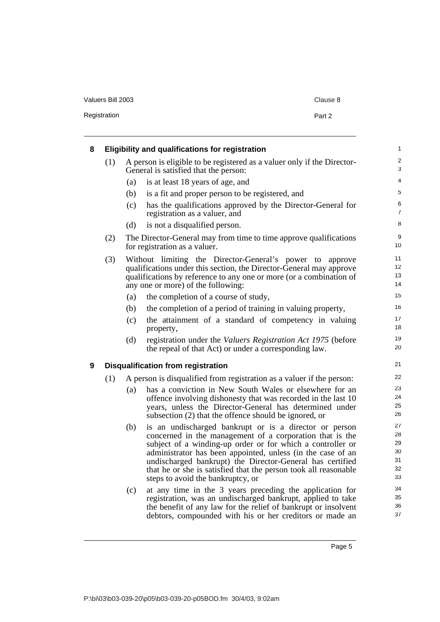| Valuers Bill 2003 | Clause 8 |
|-------------------|----------|
| Registration      | Part 2   |

<span id="page-14-1"></span><span id="page-14-0"></span>

| 8 |     |     | Eligibility and qualifications for registration                                                                                                                                                                                                                                                                                                                                                                      | $\mathbf{1}$                           |
|---|-----|-----|----------------------------------------------------------------------------------------------------------------------------------------------------------------------------------------------------------------------------------------------------------------------------------------------------------------------------------------------------------------------------------------------------------------------|----------------------------------------|
|   | (1) |     | A person is eligible to be registered as a valuer only if the Director-<br>General is satisfied that the person:                                                                                                                                                                                                                                                                                                     | 2<br>3                                 |
|   |     | (a) | is at least 18 years of age, and                                                                                                                                                                                                                                                                                                                                                                                     | 4                                      |
|   |     | (b) | is a fit and proper person to be registered, and                                                                                                                                                                                                                                                                                                                                                                     | 5                                      |
|   |     | (c) | has the qualifications approved by the Director-General for<br>registration as a valuer, and                                                                                                                                                                                                                                                                                                                         | 6<br>7                                 |
|   |     | (d) | is not a disqualified person.                                                                                                                                                                                                                                                                                                                                                                                        | 8                                      |
|   | (2) |     | The Director-General may from time to time approve qualifications<br>for registration as a valuer.                                                                                                                                                                                                                                                                                                                   | 9<br>10                                |
|   | (3) |     | Without limiting the Director-General's power to approve<br>qualifications under this section, the Director-General may approve<br>qualifications by reference to any one or more (or a combination of<br>any one or more) of the following:                                                                                                                                                                         | 11<br>12<br>13<br>14                   |
|   |     | (a) | the completion of a course of study,                                                                                                                                                                                                                                                                                                                                                                                 | 15                                     |
|   |     | (b) | the completion of a period of training in valuing property,                                                                                                                                                                                                                                                                                                                                                          | 16                                     |
|   |     | (c) | the attainment of a standard of competency in valuing<br>property,                                                                                                                                                                                                                                                                                                                                                   | 17<br>18                               |
|   |     | (d) | registration under the Valuers Registration Act 1975 (before<br>the repeal of that Act) or under a corresponding law.                                                                                                                                                                                                                                                                                                | 19<br>20                               |
| 9 |     |     | <b>Disqualification from registration</b>                                                                                                                                                                                                                                                                                                                                                                            | 21                                     |
|   | (1) |     | A person is disqualified from registration as a valuer if the person:                                                                                                                                                                                                                                                                                                                                                | 22                                     |
|   |     | (a) | has a conviction in New South Wales or elsewhere for an<br>offence involving dishonesty that was recorded in the last 10<br>years, unless the Director-General has determined under<br>subsection (2) that the offence should be ignored, or                                                                                                                                                                         | 23<br>24<br>25<br>26                   |
|   |     | (b) | is an undischarged bankrupt or is a director or person<br>concerned in the management of a corporation that is the<br>subject of a winding-up order or for which a controller or<br>administrator has been appointed, unless (in the case of an<br>undischarged bankrupt) the Director-General has certified<br>that he or she is satisfied that the person took all reasonable<br>steps to avoid the bankruptcy, or | 27<br>28<br>29<br>30<br>31<br>32<br>33 |
|   |     | (c) | at any time in the 3 years preceding the application for<br>registration, was an undischarged bankrupt, applied to take<br>the benefit of any law for the relief of bankrupt or insolvent<br>debtors, compounded with his or her creditors or made an                                                                                                                                                                | 34<br>35<br>36<br>37                   |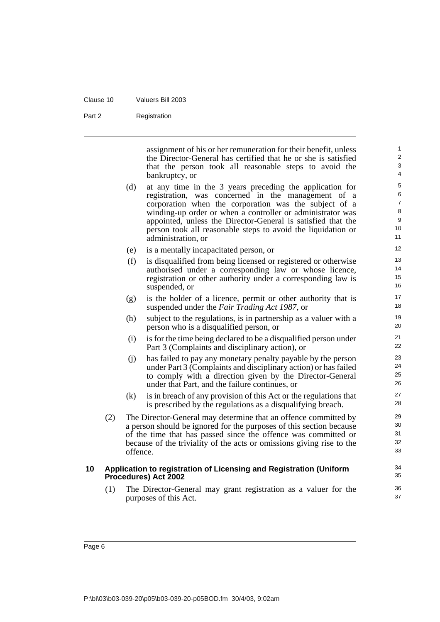| Registration |
|--------------|
|              |

assignment of his or her remuneration for their benefit, unless the Director-General has certified that he or she is satisfied that the person took all reasonable steps to avoid the bankruptcy, or

- (d) at any time in the 3 years preceding the application for registration, was concerned in the management of a corporation when the corporation was the subject of a winding-up order or when a controller or administrator was appointed, unless the Director-General is satisfied that the person took all reasonable steps to avoid the liquidation or administration, or
- (e) is a mentally incapacitated person, or
- (f) is disqualified from being licensed or registered or otherwise authorised under a corresponding law or whose licence, registration or other authority under a corresponding law is suspended, or
- (g) is the holder of a licence, permit or other authority that is suspended under the *Fair Trading Act 1987*, or
- (h) subject to the regulations, is in partnership as a valuer with a person who is a disqualified person, or
- (i) is for the time being declared to be a disqualified person under Part 3 (Complaints and disciplinary action), or
- (j) has failed to pay any monetary penalty payable by the person under Part 3 (Complaints and disciplinary action) or has failed to comply with a direction given by the Director-General under that Part, and the failure continues, or
- (k) is in breach of any provision of this Act or the regulations that is prescribed by the regulations as a disqualifying breach.
- (2) The Director-General may determine that an offence committed by a person should be ignored for the purposes of this section because of the time that has passed since the offence was committed or because of the triviality of the acts or omissions giving rise to the offence.

#### <span id="page-15-0"></span>**10 Application to registration of Licensing and Registration (Uniform Procedures) Act 2002**

(1) The Director-General may grant registration as a valuer for the purposes of this Act.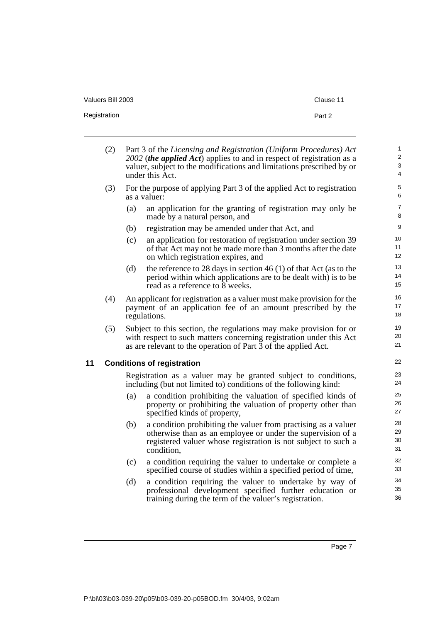| Valuers Bill 2003 | Clause 11 |
|-------------------|-----------|
| Registration      | Part 2    |

<span id="page-16-0"></span>

|    | (2) |     | Part 3 of the Licensing and Registration (Uniform Procedures) Act<br>2002 ( <i>the applied Act</i> ) applies to and in respect of registration as a<br>valuer, subject to the modifications and limitations prescribed by or<br>under this Act. | $\mathbf{1}$<br>2<br>3<br>$\overline{4}$ |
|----|-----|-----|-------------------------------------------------------------------------------------------------------------------------------------------------------------------------------------------------------------------------------------------------|------------------------------------------|
|    | (3) |     | For the purpose of applying Part 3 of the applied Act to registration<br>as a valuer:                                                                                                                                                           | $\,$ 5 $\,$<br>6                         |
|    |     | (a) | an application for the granting of registration may only be<br>made by a natural person, and                                                                                                                                                    | $\overline{7}$<br>8                      |
|    |     | (b) | registration may be amended under that Act, and                                                                                                                                                                                                 | $\boldsymbol{9}$                         |
|    |     | (c) | an application for restoration of registration under section 39<br>of that Act may not be made more than 3 months after the date<br>on which registration expires, and                                                                          | 10<br>11<br>12                           |
|    |     | (d) | the reference to 28 days in section 46 (1) of that Act (as to the<br>period within which applications are to be dealt with) is to be<br>read as a reference to 8 weeks.                                                                         | 13<br>14<br>15                           |
|    | (4) |     | An applicant for registration as a valuer must make provision for the<br>payment of an application fee of an amount prescribed by the<br>regulations.                                                                                           | 16<br>17<br>18                           |
|    | (5) |     | Subject to this section, the regulations may make provision for or<br>with respect to such matters concerning registration under this Act<br>as are relevant to the operation of Part 3 of the applied Act.                                     | 19<br>20<br>21                           |
| 11 |     |     | <b>Conditions of registration</b>                                                                                                                                                                                                               | 22                                       |
|    |     |     | Registration as a valuer may be granted subject to conditions,<br>including (but not limited to) conditions of the following kind:                                                                                                              | 23<br>24                                 |
|    |     | (a) | a condition prohibiting the valuation of specified kinds of<br>property or prohibiting the valuation of property other than<br>specified kinds of property,                                                                                     | 25<br>26<br>27                           |
|    |     | (b) | a condition prohibiting the valuer from practising as a valuer<br>otherwise than as an employee or under the supervision of a<br>registered valuer whose registration is not subject to such a<br>condition,                                    | 28<br>29<br>30<br>31                     |
|    |     | (c) | a condition requiring the valuer to undertake or complete a<br>specified course of studies within a specified period of time,                                                                                                                   | 32<br>33                                 |
|    |     | (d) | a condition requiring the valuer to undertake by way of<br>professional development specified further education or<br>training during the term of the valuer's registration.                                                                    | 34<br>35<br>36                           |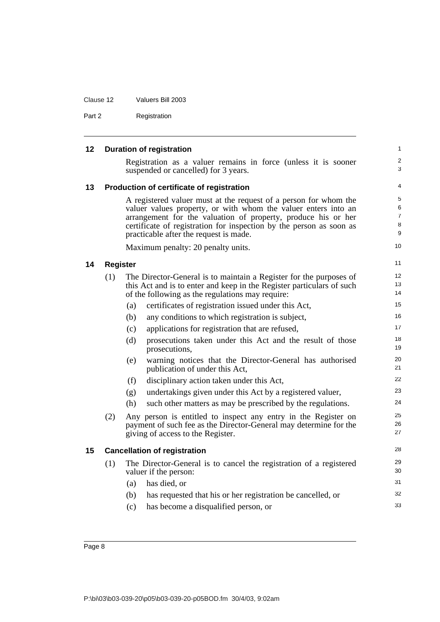<span id="page-17-3"></span><span id="page-17-2"></span><span id="page-17-1"></span><span id="page-17-0"></span>

| 12 |                 | <b>Duration of registration</b>                                                                                                                                                                                                                                                                                      |  |
|----|-----------------|----------------------------------------------------------------------------------------------------------------------------------------------------------------------------------------------------------------------------------------------------------------------------------------------------------------------|--|
|    |                 | Registration as a valuer remains in force (unless it is sooner<br>suspended or cancelled) for 3 years.                                                                                                                                                                                                               |  |
| 13 |                 | Production of certificate of registration                                                                                                                                                                                                                                                                            |  |
|    |                 | A registered valuer must at the request of a person for whom the<br>valuer values property, or with whom the valuer enters into an<br>arrangement for the valuation of property, produce his or her<br>certificate of registration for inspection by the person as soon as<br>practicable after the request is made. |  |
|    |                 | Maximum penalty: 20 penalty units.                                                                                                                                                                                                                                                                                   |  |
| 14 | <b>Register</b> |                                                                                                                                                                                                                                                                                                                      |  |
|    | (1)             | The Director-General is to maintain a Register for the purposes of<br>this Act and is to enter and keep in the Register particulars of such<br>of the following as the regulations may require:                                                                                                                      |  |
|    |                 | certificates of registration issued under this Act,<br>(a)                                                                                                                                                                                                                                                           |  |
|    |                 | any conditions to which registration is subject,<br>(b)                                                                                                                                                                                                                                                              |  |
|    |                 | applications for registration that are refused,<br>(c)                                                                                                                                                                                                                                                               |  |
|    |                 | (d)<br>prosecutions taken under this Act and the result of those<br>prosecutions,                                                                                                                                                                                                                                    |  |
|    |                 | warning notices that the Director-General has authorised<br>(e)<br>publication of under this Act,                                                                                                                                                                                                                    |  |
|    |                 | (f)<br>disciplinary action taken under this Act,                                                                                                                                                                                                                                                                     |  |
|    |                 | undertakings given under this Act by a registered valuer,<br>(g)                                                                                                                                                                                                                                                     |  |
|    |                 | (h)<br>such other matters as may be prescribed by the regulations.                                                                                                                                                                                                                                                   |  |
|    | (2)             | Any person is entitled to inspect any entry in the Register on<br>payment of such fee as the Director-General may determine for the<br>giving of access to the Register.                                                                                                                                             |  |
| 15 |                 | <b>Cancellation of registration</b>                                                                                                                                                                                                                                                                                  |  |
|    | (1)             | The Director-General is to cancel the registration of a registered<br>valuer if the person:                                                                                                                                                                                                                          |  |
|    |                 | has died, or<br>(a)                                                                                                                                                                                                                                                                                                  |  |
|    |                 | (b)<br>has requested that his or her registration be cancelled, or                                                                                                                                                                                                                                                   |  |
|    |                 | (c)<br>has become a disqualified person, or                                                                                                                                                                                                                                                                          |  |

Clause 12 Valuers Bill 2003

Part 2 Registration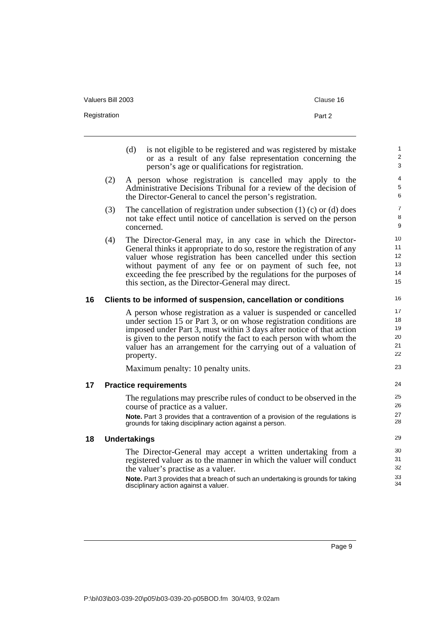| Valuers Bill 2003 | Clause 16 |
|-------------------|-----------|
| Registration      | Part 2    |

| (d) | is not eligible to be registered and was registered by mistake |
|-----|----------------------------------------------------------------|
|     | or as a result of any false representation concerning the      |
|     | person's age or qualifications for registration.               |

- (2) A person whose registration is cancelled may apply to the Administrative Decisions Tribunal for a review of the decision of the Director-General to cancel the person's registration.
- (3) The cancellation of registration under subsection  $(1)$  (c) or (d) does not take effect until notice of cancellation is served on the person concerned.
- (4) The Director-General may, in any case in which the Director-General thinks it appropriate to do so, restore the registration of any valuer whose registration has been cancelled under this section without payment of any fee or on payment of such fee, not exceeding the fee prescribed by the regulations for the purposes of this section, as the Director-General may direct.

#### <span id="page-18-0"></span>**16 Clients to be informed of suspension, cancellation or conditions**

A person whose registration as a valuer is suspended or cancelled under section 15 or Part 3, or on whose registration conditions are imposed under Part 3, must within 3 days after notice of that action is given to the person notify the fact to each person with whom the valuer has an arrangement for the carrying out of a valuation of property.

Maximum penalty: 10 penalty units.

#### <span id="page-18-1"></span>**17 Practice requirements**

The regulations may prescribe rules of conduct to be observed in the course of practice as a valuer.

**Note.** Part 3 provides that a contravention of a provision of the regulations is grounds for taking disciplinary action against a person.

#### <span id="page-18-2"></span>**18 Undertakings**

The Director-General may accept a written undertaking from a registered valuer as to the manner in which the valuer will conduct the valuer's practise as a valuer.

**Note.** Part 3 provides that a breach of such an undertaking is grounds for taking disciplinary action against a valuer.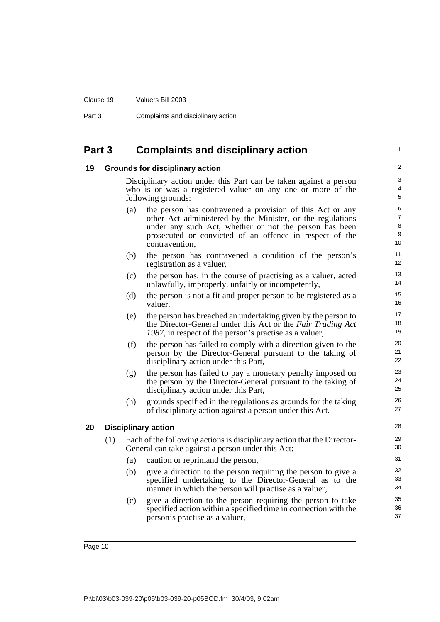Clause 19 Valuers Bill 2003

Part 3 Complaints and disciplinary action

## <span id="page-19-0"></span>**Part 3 Complaints and disciplinary action**

#### <span id="page-19-1"></span>**19 Grounds for disciplinary action**

Disciplinary action under this Part can be taken against a person who is or was a registered valuer on any one or more of the following grounds:

1

- (a) the person has contravened a provision of this Act or any other Act administered by the Minister, or the regulations under any such Act, whether or not the person has been prosecuted or convicted of an offence in respect of the contravention,
- (b) the person has contravened a condition of the person's registration as a valuer,
- (c) the person has, in the course of practising as a valuer, acted unlawfully, improperly, unfairly or incompetently,
- (d) the person is not a fit and proper person to be registered as a valuer,
- (e) the person has breached an undertaking given by the person to the Director-General under this Act or the *Fair Trading Act 1987*, in respect of the person's practise as a valuer,
- (f) the person has failed to comply with a direction given to the person by the Director-General pursuant to the taking of disciplinary action under this Part,
- (g) the person has failed to pay a monetary penalty imposed on the person by the Director-General pursuant to the taking of disciplinary action under this Part,
- (h) grounds specified in the regulations as grounds for the taking of disciplinary action against a person under this Act.

#### <span id="page-19-2"></span>**20 Disciplinary action**

- (1) Each of the following actions is disciplinary action that the Director-General can take against a person under this Act:
	- (a) caution or reprimand the person,
	- (b) give a direction to the person requiring the person to give a specified undertaking to the Director-General as to the manner in which the person will practise as a valuer,
	- (c) give a direction to the person requiring the person to take specified action within a specified time in connection with the person's practise as a valuer,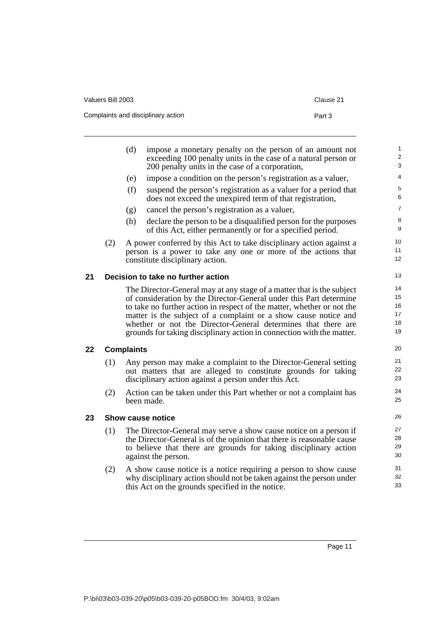| Valuers Bill 2003                  | Clause 21 |
|------------------------------------|-----------|
| Complaints and disciplinary action | Part 3    |

<span id="page-20-2"></span><span id="page-20-1"></span><span id="page-20-0"></span>

|    |     | (d)               | impose a monetary penalty on the person of an amount not<br>exceeding 100 penalty units in the case of a natural person or<br>200 penalty units in the case of a corporation, | $\mathbf{1}$<br>$\boldsymbol{2}$<br>3 |
|----|-----|-------------------|-------------------------------------------------------------------------------------------------------------------------------------------------------------------------------|---------------------------------------|
|    |     | (e)               | impose a condition on the person's registration as a valuer,                                                                                                                  | 4                                     |
|    |     | (f)               | suspend the person's registration as a valuer for a period that<br>does not exceed the unexpired term of that registration,                                                   | $\,$ 5 $\,$<br>6                      |
|    |     | (g)               | cancel the person's registration as a valuer,                                                                                                                                 | $\overline{7}$                        |
|    |     | (h)               | declare the person to be a disqualified person for the purposes<br>of this Act, either permanently or for a specified period.                                                 | $\bf8$<br>9                           |
|    | (2) |                   | A power conferred by this Act to take disciplinary action against a                                                                                                           | 10<br>11                              |
|    |     |                   | person is a power to take any one or more of the actions that<br>constitute disciplinary action.                                                                              | 12                                    |
| 21 |     |                   | Decision to take no further action                                                                                                                                            | 13                                    |
|    |     |                   | The Director-General may at any stage of a matter that is the subject                                                                                                         | 14                                    |
|    |     |                   | of consideration by the Director-General under this Part determine                                                                                                            | 15                                    |
|    |     |                   | to take no further action in respect of the matter, whether or not the                                                                                                        | 16<br>17                              |
|    |     |                   | matter is the subject of a complaint or a show cause notice and<br>whether or not the Director-General determines that there are                                              | 18                                    |
|    |     |                   | grounds for taking disciplinary action in connection with the matter.                                                                                                         | 19                                    |
| 22 |     | <b>Complaints</b> |                                                                                                                                                                               | 20                                    |
|    | (1) |                   | Any person may make a complaint to the Director-General setting                                                                                                               | 21                                    |
|    |     |                   | out matters that are alleged to constitute grounds for taking<br>disciplinary action against a person under this Act.                                                         | 22<br>23                              |
|    | (2) |                   | Action can be taken under this Part whether or not a complaint has<br>been made.                                                                                              | 24<br>25                              |
| 23 |     |                   | <b>Show cause notice</b>                                                                                                                                                      | 26                                    |
|    | (1) |                   | The Director-General may serve a show cause notice on a person if                                                                                                             | 27                                    |
|    |     |                   | the Director-General is of the opinion that there is reasonable cause                                                                                                         | 28                                    |
|    |     |                   | to believe that there are grounds for taking disciplinary action<br>against the person.                                                                                       | 29<br>30                              |
|    | (2) |                   | A show cause notice is a notice requiring a person to show cause                                                                                                              | 31                                    |
|    |     |                   | why disciplinary action should not be taken against the person under<br>this Act on the grounds specified in the notice.                                                      | 32<br>33                              |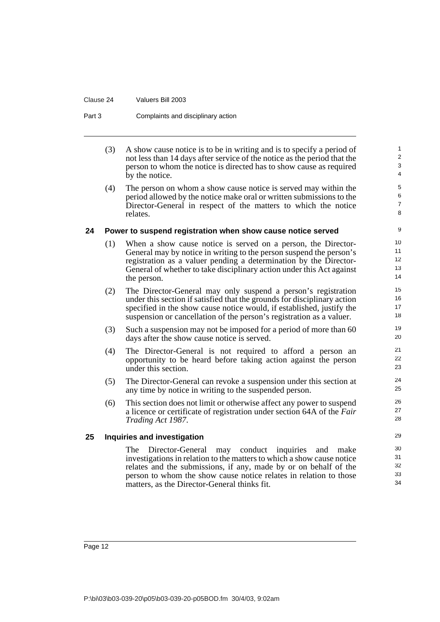#### Clause 24 Valuers Bill 2003

#### Part 3 Complaints and disciplinary action

(3) A show cause notice is to be in writing and is to specify a period of not less than 14 days after service of the notice as the period that the person to whom the notice is directed has to show cause as required by the notice.

(4) The person on whom a show cause notice is served may within the period allowed by the notice make oral or written submissions to the Director-General in respect of the matters to which the notice relates.

#### <span id="page-21-0"></span>**24 Power to suspend registration when show cause notice served**

- (1) When a show cause notice is served on a person, the Director-General may by notice in writing to the person suspend the person's registration as a valuer pending a determination by the Director-General of whether to take disciplinary action under this Act against the person.
- (2) The Director-General may only suspend a person's registration under this section if satisfied that the grounds for disciplinary action specified in the show cause notice would, if established, justify the suspension or cancellation of the person's registration as a valuer.
- (3) Such a suspension may not be imposed for a period of more than 60 days after the show cause notice is served.
- (4) The Director-General is not required to afford a person an opportunity to be heard before taking action against the person under this section.
- (5) The Director-General can revoke a suspension under this section at any time by notice in writing to the suspended person.
- (6) This section does not limit or otherwise affect any power to suspend a licence or certificate of registration under section 64A of the *Fair Trading Act 1987*.

#### <span id="page-21-1"></span>**25 Inquiries and investigation**

The Director-General may conduct inquiries and make investigations in relation to the matters to which a show cause notice relates and the submissions, if any, made by or on behalf of the person to whom the show cause notice relates in relation to those matters, as the Director-General thinks fit.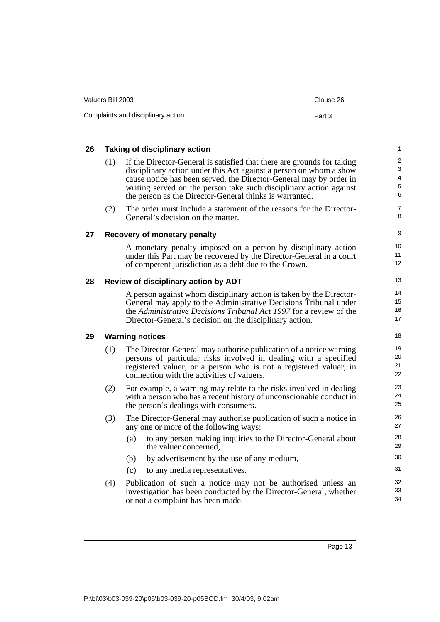| Valuers Bill 2003                  | Clause 26 |
|------------------------------------|-----------|
| Complaints and disciplinary action | Part 3    |

<span id="page-22-3"></span><span id="page-22-2"></span><span id="page-22-1"></span><span id="page-22-0"></span>

| 26 |     | <b>Taking of disciplinary action</b>                                                                                                                                                                                                                                                                                                                | 1                                  |
|----|-----|-----------------------------------------------------------------------------------------------------------------------------------------------------------------------------------------------------------------------------------------------------------------------------------------------------------------------------------------------------|------------------------------------|
|    | (1) | If the Director-General is satisfied that there are grounds for taking<br>disciplinary action under this Act against a person on whom a show<br>cause notice has been served, the Director-General may by order in<br>writing served on the person take such disciplinary action against<br>the person as the Director-General thinks is warranted. | $\overline{2}$<br>3<br>4<br>5<br>6 |
|    | (2) | The order must include a statement of the reasons for the Director-<br>General's decision on the matter.                                                                                                                                                                                                                                            | 7<br>8                             |
| 27 |     | Recovery of monetary penalty                                                                                                                                                                                                                                                                                                                        | 9                                  |
|    |     | A monetary penalty imposed on a person by disciplinary action<br>under this Part may be recovered by the Director-General in a court<br>of competent jurisdiction as a debt due to the Crown.                                                                                                                                                       | 10<br>11<br>12                     |
| 28 |     | Review of disciplinary action by ADT                                                                                                                                                                                                                                                                                                                | 13                                 |
|    |     | A person against whom disciplinary action is taken by the Director-<br>General may apply to the Administrative Decisions Tribunal under<br>the Administrative Decisions Tribunal Act 1997 for a review of the<br>Director-General's decision on the disciplinary action.                                                                            | 14<br>15<br>16<br>17               |
| 29 |     | <b>Warning notices</b>                                                                                                                                                                                                                                                                                                                              | 18                                 |
|    | (1) | The Director-General may authorise publication of a notice warning<br>persons of particular risks involved in dealing with a specified<br>registered valuer, or a person who is not a registered valuer, in<br>connection with the activities of valuers.                                                                                           | 19<br>20<br>21<br>22               |
|    | (2) | For example, a warning may relate to the risks involved in dealing<br>with a person who has a recent history of unconscionable conduct in<br>the person's dealings with consumers.                                                                                                                                                                  | 23<br>24<br>25                     |
|    | (3) | The Director-General may authorise publication of such a notice in<br>any one or more of the following ways:                                                                                                                                                                                                                                        | 26<br>27                           |
|    |     | to any person making inquiries to the Director-General about<br>(a)<br>the valuer concerned,                                                                                                                                                                                                                                                        | 28<br>29                           |
|    |     | by advertisement by the use of any medium,<br>(b)                                                                                                                                                                                                                                                                                                   | 30                                 |
|    |     | (c)<br>to any media representatives.                                                                                                                                                                                                                                                                                                                | 31                                 |
|    | (4) | Publication of such a notice may not be authorised unless an<br>investigation has been conducted by the Director-General, whether<br>or not a complaint has been made.                                                                                                                                                                              | 32<br>33<br>34                     |
|    |     |                                                                                                                                                                                                                                                                                                                                                     |                                    |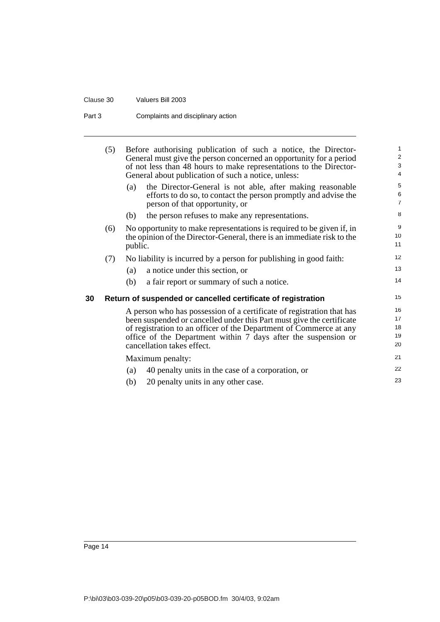#### Clause 30 Valuers Bill 2003

#### Part 3 Complaints and disciplinary action

<span id="page-23-0"></span>

|    | (5) |         | Before authorising publication of such a notice, the Director-<br>General must give the person concerned an opportunity for a period<br>of not less than 48 hours to make representations to the Director-<br>General about publication of such a notice, unless:                                                    | 1<br>$\overline{\mathbf{c}}$<br>3<br>4 |
|----|-----|---------|----------------------------------------------------------------------------------------------------------------------------------------------------------------------------------------------------------------------------------------------------------------------------------------------------------------------|----------------------------------------|
|    |     | (a)     | the Director-General is not able, after making reasonable<br>efforts to do so, to contact the person promptly and advise the<br>person of that opportunity, or                                                                                                                                                       | 5<br>6<br>$\overline{7}$               |
|    |     | (b)     | the person refuses to make any representations.                                                                                                                                                                                                                                                                      | 8                                      |
|    | (6) | public. | No opportunity to make representations is required to be given if, in<br>the opinion of the Director-General, there is an immediate risk to the                                                                                                                                                                      | 9<br>10<br>11                          |
|    | (7) |         | No liability is incurred by a person for publishing in good faith:                                                                                                                                                                                                                                                   | 12                                     |
|    |     | (a)     | a notice under this section, or                                                                                                                                                                                                                                                                                      | 13                                     |
|    |     | (b)     | a fair report or summary of such a notice.                                                                                                                                                                                                                                                                           | 14                                     |
| 30 |     |         | Return of suspended or cancelled certificate of registration                                                                                                                                                                                                                                                         | 15                                     |
|    |     |         | A person who has possession of a certificate of registration that has<br>been suspended or cancelled under this Part must give the certificate<br>of registration to an officer of the Department of Commerce at any<br>office of the Department within 7 days after the suspension or<br>cancellation takes effect. | 16<br>17<br>18<br>19<br>20             |
|    |     |         | Maximum penalty:                                                                                                                                                                                                                                                                                                     | 21                                     |
|    |     | (a)     | 40 penalty units in the case of a corporation, or                                                                                                                                                                                                                                                                    | 22                                     |
|    |     | (b)     | 20 penalty units in any other case.                                                                                                                                                                                                                                                                                  | 23                                     |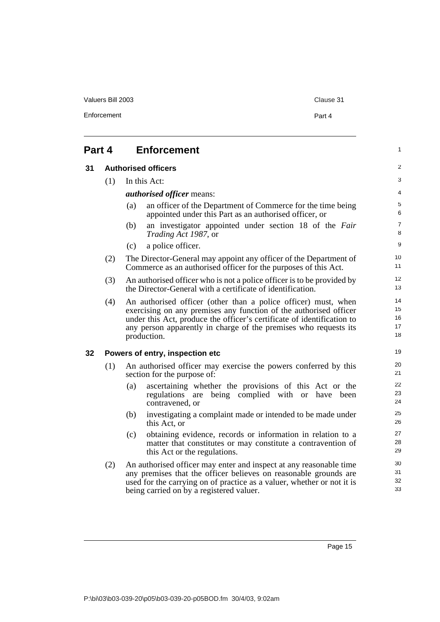<span id="page-24-2"></span><span id="page-24-1"></span><span id="page-24-0"></span>

| 31 |     | <b>Authorised officers</b>                                                                                                                                                                                                                                                                       |
|----|-----|--------------------------------------------------------------------------------------------------------------------------------------------------------------------------------------------------------------------------------------------------------------------------------------------------|
|    | (1) | In this Act:                                                                                                                                                                                                                                                                                     |
|    |     | <i>authorised officer means:</i>                                                                                                                                                                                                                                                                 |
|    |     | an officer of the Department of Commerce for the time being<br>(a)<br>appointed under this Part as an authorised officer, or                                                                                                                                                                     |
|    |     | an investigator appointed under section 18 of the Fair<br>(b)<br><i>Trading Act 1987</i> , or                                                                                                                                                                                                    |
|    |     | a police officer.<br>(c)                                                                                                                                                                                                                                                                         |
|    | (2) | The Director-General may appoint any officer of the Department of<br>Commerce as an authorised officer for the purposes of this Act.                                                                                                                                                             |
|    | (3) | An authorised officer who is not a police officer is to be provided by<br>the Director-General with a certificate of identification.                                                                                                                                                             |
|    | (4) | An authorised officer (other than a police officer) must, when<br>exercising on any premises any function of the authorised officer<br>under this Act, produce the officer's certificate of identification to<br>any person apparently in charge of the premises who requests its<br>production. |
| 32 |     | Powers of entry, inspection etc                                                                                                                                                                                                                                                                  |
|    | (1) | An authorised officer may exercise the powers conferred by this<br>section for the purpose of:                                                                                                                                                                                                   |
|    |     | ascertaining whether the provisions of this Act or the<br>(a)<br>are being complied with or have been<br>regulations<br>contravened, or                                                                                                                                                          |
|    |     | investigating a complaint made or intended to be made under<br>(b)<br>this Act, or                                                                                                                                                                                                               |
|    |     | obtaining evidence, records or information in relation to a<br>(c)<br>matter that constitutes or may constitute a contravention of<br>this Act or the regulations.                                                                                                                               |
|    | (2) | An authorised officer may enter and inspect at any reasonable time<br>any premises that the officer believes on reasonable grounds are<br>used for the carrying on of practice as a valuer, whether or not it is<br>being carried on by a registered valuer.                                     |

1

Valuers Bill 2003 Clause 31

Enforcement Part 4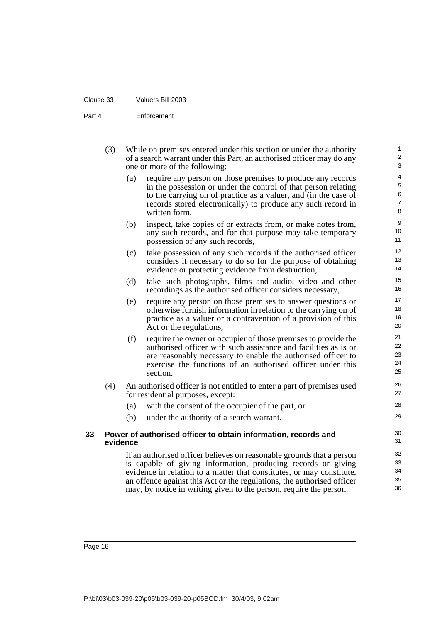| Clause 33 | Valuers Bill 2003 |
|-----------|-------------------|
|           |                   |

Part 4 Enforcement

|    | (3) |          | While on premises entered under this section or under the authority<br>of a search warrant under this Part, an authorised officer may do any<br>one or more of the following:                                                                                                             | 1<br>$\overline{\mathbf{c}}$<br>3  |
|----|-----|----------|-------------------------------------------------------------------------------------------------------------------------------------------------------------------------------------------------------------------------------------------------------------------------------------------|------------------------------------|
|    |     | (a)      | require any person on those premises to produce any records<br>in the possession or under the control of that person relating<br>to the carrying on of practice as a valuer, and (in the case of<br>records stored electronically) to produce any such record in<br>written form,         | 4<br>5<br>6<br>$\overline{7}$<br>8 |
|    |     | (b)      | inspect, take copies of or extracts from, or make notes from,<br>any such records, and for that purpose may take temporary<br>possession of any such records,                                                                                                                             | 9<br>10<br>11                      |
|    |     | (c)      | take possession of any such records if the authorised officer<br>considers it necessary to do so for the purpose of obtaining<br>evidence or protecting evidence from destruction,                                                                                                        | 12<br>13<br>14                     |
|    |     | (d)      | take such photographs, films and audio, video and other<br>recordings as the authorised officer considers necessary,                                                                                                                                                                      | 15<br>16                           |
|    |     | (e)      | require any person on those premises to answer questions or<br>otherwise furnish information in relation to the carrying on of<br>practice as a valuer or a contravention of a provision of this<br>Act or the regulations,                                                               | 17<br>18<br>19<br>20               |
|    |     | (f)      | require the owner or occupier of those premises to provide the<br>authorised officer with such assistance and facilities as is or<br>are reasonably necessary to enable the authorised officer to<br>exercise the functions of an authorised officer under this<br>section.               | 21<br>22<br>23<br>24<br>25         |
|    | (4) |          | An authorised officer is not entitled to enter a part of premises used<br>for residential purposes, except:                                                                                                                                                                               | 26<br>27                           |
|    |     | (a)      | with the consent of the occupier of the part, or                                                                                                                                                                                                                                          | 28                                 |
|    |     | (b)      | under the authority of a search warrant.                                                                                                                                                                                                                                                  | 29                                 |
| 33 |     | evidence | Power of authorised officer to obtain information, records and                                                                                                                                                                                                                            | 30<br>31                           |
|    |     |          | If an authorised officer believes on reasonable grounds that a person<br>is capable of giving information, producing records or giving<br>evidence in relation to a matter that constitutes, or may constitute,<br>an offence against this Act or the regulations, the authorised officer | 32<br>33<br>34<br>35               |

<span id="page-25-0"></span>may, by notice in writing given to the person, require the person:

36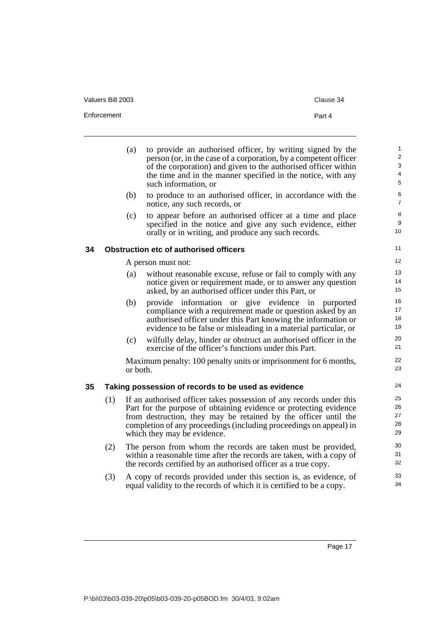| Valuers Bill 2003 | Clause 34 |
|-------------------|-----------|
| Enforcement       | Part 4    |

<span id="page-26-1"></span><span id="page-26-0"></span>

|    |     | (a)      | to provide an authorised officer, by writing signed by the<br>person (or, in the case of a corporation, by a competent officer<br>of the corporation) and given to the authorised officer within | $\mathbf{1}$<br>$\boldsymbol{2}$<br>3 |
|----|-----|----------|--------------------------------------------------------------------------------------------------------------------------------------------------------------------------------------------------|---------------------------------------|
|    |     |          | the time and in the manner specified in the notice, with any<br>such information, or                                                                                                             | 4<br>5                                |
|    |     | (b)      | to produce to an authorised officer, in accordance with the<br>notice, any such records, or                                                                                                      | 6<br>$\overline{7}$                   |
|    |     | (c)      | to appear before an authorised officer at a time and place<br>specified in the notice and give any such evidence, either<br>orally or in writing, and produce any such records.                  | 8<br>9<br>10                          |
| 34 |     |          | <b>Obstruction etc of authorised officers</b>                                                                                                                                                    | 11                                    |
|    |     |          | A person must not:                                                                                                                                                                               | 12                                    |
|    |     | (a)      | without reasonable excuse, refuse or fail to comply with any                                                                                                                                     | 13<br>14                              |
|    |     |          | notice given or requirement made, or to answer any question<br>asked, by an authorised officer under this Part, or                                                                               | 15                                    |
|    |     | (b)      | provide information or give evidence in purported                                                                                                                                                | 16                                    |
|    |     |          | compliance with a requirement made or question asked by an                                                                                                                                       | 17<br>18                              |
|    |     |          | authorised officer under this Part knowing the information or<br>evidence to be false or misleading in a material particular, or                                                                 | 19                                    |
|    |     | (c)      | wilfully delay, hinder or obstruct an authorised officer in the<br>exercise of the officer's functions under this Part.                                                                          | 20<br>21                              |
|    |     | or both. | Maximum penalty: 100 penalty units or imprisonment for 6 months,                                                                                                                                 | 22<br>23                              |
| 35 |     |          | Taking possession of records to be used as evidence                                                                                                                                              | 24                                    |
|    | (1) |          | If an authorised officer takes possession of any records under this                                                                                                                              | 25                                    |
|    |     |          | Part for the purpose of obtaining evidence or protecting evidence                                                                                                                                | 26                                    |
|    |     |          | from destruction, they may be retained by the officer until the                                                                                                                                  | 27<br>28                              |
|    |     |          | completion of any proceedings (including proceedings on appeal) in<br>which they may be evidence.                                                                                                | 29                                    |
|    | (2) |          | The person from whom the records are taken must be provided,                                                                                                                                     | 30                                    |
|    |     |          | within a reasonable time after the records are taken, with a copy of                                                                                                                             | 31                                    |
|    |     |          | the records certified by an authorised officer as a true copy.                                                                                                                                   | 32                                    |
|    | (3) |          | A copy of records provided under this section is, as evidence, of<br>equal validity to the records of which it is certified to be a copy.                                                        | 33<br>34                              |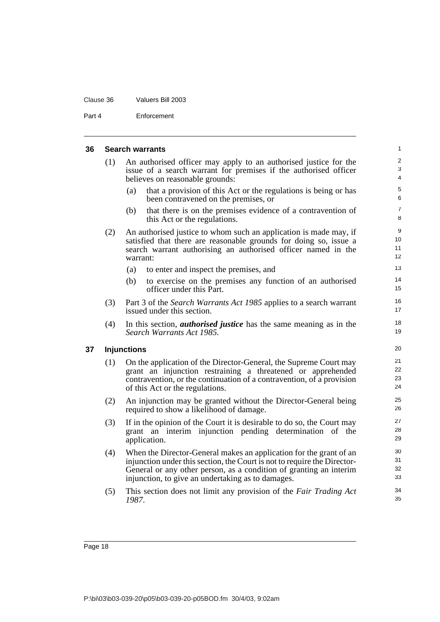#### Clause 36 Valuers Bill 2003

Part 4 Enforcement

#### **36 Search warrants**

<span id="page-27-1"></span><span id="page-27-0"></span>

| 36 |                    | <b>Search warrants</b>                                                                                                                                                                                                                                                    | $\mathbf{1}$          |  |  |
|----|--------------------|---------------------------------------------------------------------------------------------------------------------------------------------------------------------------------------------------------------------------------------------------------------------------|-----------------------|--|--|
|    | (1)                | An authorised officer may apply to an authorised justice for the<br>issue of a search warrant for premises if the authorised officer<br>believes on reasonable grounds:                                                                                                   | 2<br>$\mathbf 3$<br>4 |  |  |
|    |                    | that a provision of this Act or the regulations is being or has<br>(a)<br>been contravened on the premises, or                                                                                                                                                            | 5<br>6                |  |  |
|    |                    | that there is on the premises evidence of a contravention of<br>(b)<br>this Act or the regulations.                                                                                                                                                                       | $\overline{7}$<br>8   |  |  |
|    | (2)                | An authorised justice to whom such an application is made may, if<br>satisfied that there are reasonable grounds for doing so, issue a<br>search warrant authorising an authorised officer named in the<br>warrant:                                                       | 9<br>10<br>11<br>12   |  |  |
|    |                    | (a)<br>to enter and inspect the premises, and                                                                                                                                                                                                                             | 13                    |  |  |
|    |                    | (b)<br>to exercise on the premises any function of an authorised<br>officer under this Part.                                                                                                                                                                              | 14<br>15              |  |  |
|    | (3)                | Part 3 of the Search Warrants Act 1985 applies to a search warrant<br>issued under this section.                                                                                                                                                                          | 16<br>17              |  |  |
|    | (4)                | In this section, <i>authorised justice</i> has the same meaning as in the<br>Search Warrants Act 1985.                                                                                                                                                                    | 18<br>19              |  |  |
| 37 | <b>Injunctions</b> |                                                                                                                                                                                                                                                                           |                       |  |  |
|    | (1)                | On the application of the Director-General, the Supreme Court may<br>grant an injunction restraining a threatened or apprehended<br>contravention, or the continuation of a contravention, of a provision<br>of this Act or the regulations.                              | 21<br>22<br>23<br>24  |  |  |
|    | (2)                | An injunction may be granted without the Director-General being<br>required to show a likelihood of damage.                                                                                                                                                               | 25<br>26              |  |  |
|    | (3)                | If in the opinion of the Court it is desirable to do so, the Court may<br>grant an interim injunction pending determination of the<br>application.                                                                                                                        | 27<br>28<br>29        |  |  |
|    | (4)                | When the Director-General makes an application for the grant of an<br>injunction under this section, the Court is not to require the Director-<br>General or any other person, as a condition of granting an interim<br>injunction, to give an undertaking as to damages. | 30<br>31<br>32<br>33  |  |  |
|    | (5)                | This section does not limit any provision of the Fair Trading Act<br>1987.                                                                                                                                                                                                | 34<br>35              |  |  |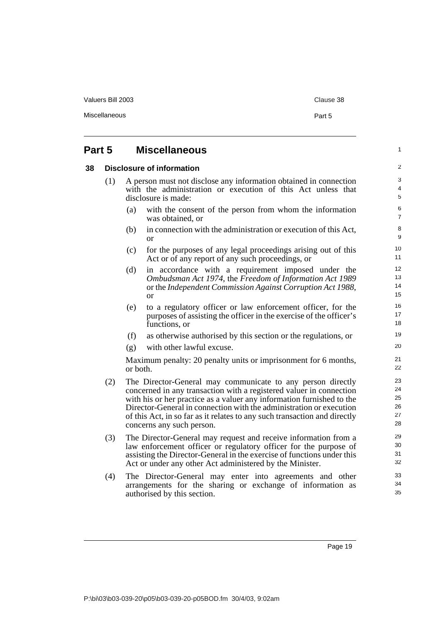<span id="page-28-1"></span><span id="page-28-0"></span>

|    |                                | Miscellaneous<br>Part 5 |                                                                                                                                                                                                                                                                                                                                                                                              |  |  |
|----|--------------------------------|-------------------------|----------------------------------------------------------------------------------------------------------------------------------------------------------------------------------------------------------------------------------------------------------------------------------------------------------------------------------------------------------------------------------------------|--|--|
|    | Part 5<br><b>Miscellaneous</b> |                         |                                                                                                                                                                                                                                                                                                                                                                                              |  |  |
| 38 |                                |                         | Disclosure of information                                                                                                                                                                                                                                                                                                                                                                    |  |  |
|    | (1)                            |                         | A person must not disclose any information obtained in connection<br>with the administration or execution of this Act unless that<br>disclosure is made:                                                                                                                                                                                                                                     |  |  |
|    |                                | (a)                     | with the consent of the person from whom the information<br>was obtained, or                                                                                                                                                                                                                                                                                                                 |  |  |
|    |                                | (b)                     | in connection with the administration or execution of this Act,<br><sub>or</sub>                                                                                                                                                                                                                                                                                                             |  |  |
|    |                                | (c)                     | for the purposes of any legal proceedings arising out of this<br>Act or of any report of any such proceedings, or                                                                                                                                                                                                                                                                            |  |  |
|    |                                | (d)                     | in accordance with a requirement imposed under the<br>Ombudsman Act 1974, the Freedom of Information Act 1989<br>or the Independent Commission Against Corruption Act 1988,<br><sub>or</sub>                                                                                                                                                                                                 |  |  |
|    |                                | (e)                     | to a regulatory officer or law enforcement officer, for the<br>purposes of assisting the officer in the exercise of the officer's<br>functions, or                                                                                                                                                                                                                                           |  |  |
|    |                                | (f)                     | as otherwise authorised by this section or the regulations, or                                                                                                                                                                                                                                                                                                                               |  |  |
|    |                                | (g)                     | with other lawful excuse.                                                                                                                                                                                                                                                                                                                                                                    |  |  |
|    |                                | or both.                | Maximum penalty: 20 penalty units or imprisonment for 6 months,                                                                                                                                                                                                                                                                                                                              |  |  |
|    | (2)                            |                         | The Director-General may communicate to any person directly<br>concerned in any transaction with a registered valuer in connection<br>with his or her practice as a valuer any information furnished to the<br>Director-General in connection with the administration or execution<br>of this Act, in so far as it relates to any such transaction and directly<br>concerns any such person. |  |  |
|    | (3)                            |                         | The Director-General may request and receive information from a<br>law enforcement officer or regulatory officer for the purpose of<br>assisting the Director-General in the exercise of functions under this<br>Act or under any other Act administered by the Minister.                                                                                                                    |  |  |
|    | (4)                            |                         | The Director-General may enter into agreements and other<br>arrangements for the sharing or exchange of information as<br>authorised by this section.                                                                                                                                                                                                                                        |  |  |

Valuers Bill 2003 Clause 38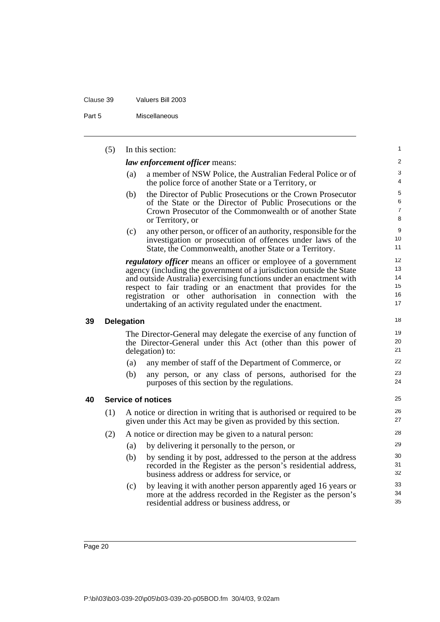Part 5 Miscellaneous

<span id="page-29-1"></span><span id="page-29-0"></span>

|    | (5) |                   | In this section:                                                                                                                                                                                                                                                                                                                                                                                                     | 1                                |
|----|-----|-------------------|----------------------------------------------------------------------------------------------------------------------------------------------------------------------------------------------------------------------------------------------------------------------------------------------------------------------------------------------------------------------------------------------------------------------|----------------------------------|
|    |     |                   | <i>law enforcement officer means:</i>                                                                                                                                                                                                                                                                                                                                                                                | $\overline{c}$                   |
|    |     | (a)               | a member of NSW Police, the Australian Federal Police or of<br>the police force of another State or a Territory, or                                                                                                                                                                                                                                                                                                  | 3<br>4                           |
|    |     | (b)               | the Director of Public Prosecutions or the Crown Prosecutor<br>of the State or the Director of Public Prosecutions or the<br>Crown Prosecutor of the Commonwealth or of another State<br>or Territory, or                                                                                                                                                                                                            | 5<br>6<br>7<br>8                 |
|    |     | (c)               | any other person, or officer of an authority, responsible for the<br>investigation or prosecution of offences under laws of the<br>State, the Commonwealth, another State or a Territory.                                                                                                                                                                                                                            | 9<br>10<br>11                    |
|    |     |                   | <i>regulatory officer</i> means an officer or employee of a government<br>agency (including the government of a jurisdiction outside the State<br>and outside Australia) exercising functions under an enactment with<br>respect to fair trading or an enactment that provides for the<br>registration or other authorisation in connection with<br>the<br>undertaking of an activity regulated under the enactment. | 12<br>13<br>14<br>15<br>16<br>17 |
| 39 |     | <b>Delegation</b> |                                                                                                                                                                                                                                                                                                                                                                                                                      | 18                               |
|    |     |                   | The Director-General may delegate the exercise of any function of<br>the Director-General under this Act (other than this power of<br>delegation) to:                                                                                                                                                                                                                                                                | 19<br>20<br>21                   |
|    |     | (a)               | any member of staff of the Department of Commerce, or                                                                                                                                                                                                                                                                                                                                                                | 22                               |
|    |     | (b)               | any person, or any class of persons, authorised for the<br>purposes of this section by the regulations.                                                                                                                                                                                                                                                                                                              | 23<br>24                         |
| 40 |     |                   | <b>Service of notices</b>                                                                                                                                                                                                                                                                                                                                                                                            | 25                               |
|    | (1) |                   | A notice or direction in writing that is authorised or required to be<br>given under this Act may be given as provided by this section.                                                                                                                                                                                                                                                                              | 26<br>27                         |
|    | (2) |                   | A notice or direction may be given to a natural person:                                                                                                                                                                                                                                                                                                                                                              | 28                               |
|    |     | (a)               | by delivering it personally to the person, or                                                                                                                                                                                                                                                                                                                                                                        | 29                               |
|    |     | (b)               | by sending it by post, addressed to the person at the address<br>recorded in the Register as the person's residential address,<br>business address or address for service, or                                                                                                                                                                                                                                        | 30<br>31<br>32                   |
|    |     | (c)               | by leaving it with another person apparently aged 16 years or<br>more at the address recorded in the Register as the person's<br>residential address or business address, or                                                                                                                                                                                                                                         | 33<br>34<br>35                   |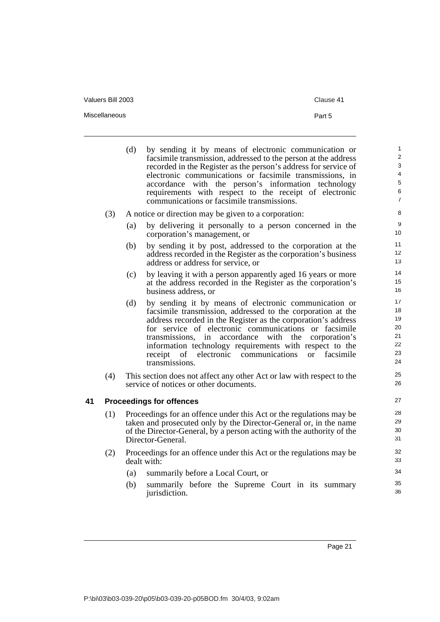| Valuers Bill 2003 | Clause 41 |
|-------------------|-----------|
| Miscellaneous     | Part 5    |

<span id="page-30-0"></span>

|    |     | (d) | by sending it by means of electronic communication or<br>facsimile transmission, addressed to the person at the address<br>recorded in the Register as the person's address for service of<br>electronic communications or facsimile transmissions, in<br>accordance with the person's information technology<br>requirements with respect to the receipt of electronic<br>communications or facsimile transmissions.                               | $\mathbf{1}$<br>2<br>3<br>$\overline{4}$<br>$\,$ 5 $\,$<br>6<br>$\overline{7}$ |
|----|-----|-----|-----------------------------------------------------------------------------------------------------------------------------------------------------------------------------------------------------------------------------------------------------------------------------------------------------------------------------------------------------------------------------------------------------------------------------------------------------|--------------------------------------------------------------------------------|
|    | (3) |     | A notice or direction may be given to a corporation:                                                                                                                                                                                                                                                                                                                                                                                                | $\,8\,$                                                                        |
|    |     | (a) | by delivering it personally to a person concerned in the<br>corporation's management, or                                                                                                                                                                                                                                                                                                                                                            | 9<br>10                                                                        |
|    |     | (b) | by sending it by post, addressed to the corporation at the<br>address recorded in the Register as the corporation's business<br>address or address for service, or                                                                                                                                                                                                                                                                                  | 11<br>12<br>13                                                                 |
|    |     | (c) | by leaving it with a person apparently aged 16 years or more<br>at the address recorded in the Register as the corporation's<br>business address, or                                                                                                                                                                                                                                                                                                | 14<br>15<br>16                                                                 |
|    |     | (d) | by sending it by means of electronic communication or<br>facsimile transmission, addressed to the corporation at the<br>address recorded in the Register as the corporation's address<br>for service of electronic communications or facsimile<br>transmissions, in accordance<br>with the<br>corporation's<br>information technology requirements with respect to the<br>receipt of electronic communications<br>facsimile<br>or<br>transmissions. | 17<br>18<br>19<br>20<br>21<br>22<br>23<br>24                                   |
|    | (4) |     | This section does not affect any other Act or law with respect to the<br>service of notices or other documents.                                                                                                                                                                                                                                                                                                                                     | 25<br>26                                                                       |
| 41 |     |     | <b>Proceedings for offences</b>                                                                                                                                                                                                                                                                                                                                                                                                                     | 27                                                                             |
|    | (1) |     | Proceedings for an offence under this Act or the regulations may be<br>taken and prosecuted only by the Director-General or, in the name<br>of the Director-General, by a person acting with the authority of the<br>Director-General.                                                                                                                                                                                                              | 28<br>29<br>30<br>31                                                           |
|    | (2) |     | Proceedings for an offence under this Act or the regulations may be<br>dealt with:                                                                                                                                                                                                                                                                                                                                                                  | 32<br>33                                                                       |
|    |     | (a) | summarily before a Local Court, or                                                                                                                                                                                                                                                                                                                                                                                                                  | 34                                                                             |
|    |     | (b) | summarily before the Supreme Court in its summary<br>jurisdiction.                                                                                                                                                                                                                                                                                                                                                                                  | 35<br>36                                                                       |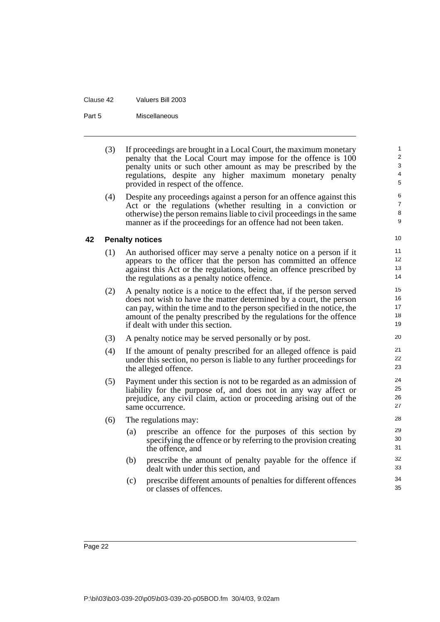| Clause 42 | Valuers Bill 2003 |
|-----------|-------------------|
|           |                   |

Part 5 Miscellaneous

<span id="page-31-0"></span>

|    | (3) |     | If proceedings are brought in a Local Court, the maximum monetary<br>penalty that the Local Court may impose for the offence is 100<br>penalty units or such other amount as may be prescribed by the<br>regulations, despite any higher maximum monetary penalty<br>provided in respect of the offence.                           | 1<br>$\overline{2}$<br>$\mathbf{3}$<br>$\overline{\mathbf{4}}$<br>$\overline{5}$ |
|----|-----|-----|------------------------------------------------------------------------------------------------------------------------------------------------------------------------------------------------------------------------------------------------------------------------------------------------------------------------------------|----------------------------------------------------------------------------------|
|    | (4) |     | Despite any proceedings against a person for an offence against this<br>Act or the regulations (whether resulting in a conviction or<br>otherwise) the person remains liable to civil proceedings in the same<br>manner as if the proceedings for an offence had not been taken.                                                   | 6<br>$\overline{7}$<br>8<br>$9\,$                                                |
| 42 |     |     | <b>Penalty notices</b>                                                                                                                                                                                                                                                                                                             | 10                                                                               |
|    | (1) |     | An authorised officer may serve a penalty notice on a person if it<br>appears to the officer that the person has committed an offence<br>against this Act or the regulations, being an offence prescribed by<br>the regulations as a penalty notice offence.                                                                       | 11<br>12<br>13<br>14                                                             |
|    | (2) |     | A penalty notice is a notice to the effect that, if the person served<br>does not wish to have the matter determined by a court, the person<br>can pay, within the time and to the person specified in the notice, the<br>amount of the penalty prescribed by the regulations for the offence<br>if dealt with under this section. | 15<br>16<br>17<br>18<br>19                                                       |
|    | (3) |     | A penalty notice may be served personally or by post.                                                                                                                                                                                                                                                                              | 20                                                                               |
|    | (4) |     | If the amount of penalty prescribed for an alleged offence is paid<br>under this section, no person is liable to any further proceedings for<br>the alleged offence.                                                                                                                                                               | 21<br>22<br>23                                                                   |
|    | (5) |     | Payment under this section is not to be regarded as an admission of<br>liability for the purpose of, and does not in any way affect or<br>prejudice, any civil claim, action or proceeding arising out of the<br>same occurrence.                                                                                                  | 24<br>25<br>26<br>27                                                             |
|    | (6) |     | The regulations may:                                                                                                                                                                                                                                                                                                               | 28                                                                               |
|    |     | (a) | prescribe an offence for the purposes of this section by<br>specifying the offence or by referring to the provision creating<br>the offence, and                                                                                                                                                                                   | 29<br>30<br>31                                                                   |
|    |     | (b) | prescribe the amount of penalty payable for the offence if<br>dealt with under this section, and                                                                                                                                                                                                                                   | 32<br>33                                                                         |
|    |     | (c) | prescribe different amounts of penalties for different offences<br>or classes of offences.                                                                                                                                                                                                                                         | 34<br>35                                                                         |
|    |     |     |                                                                                                                                                                                                                                                                                                                                    |                                                                                  |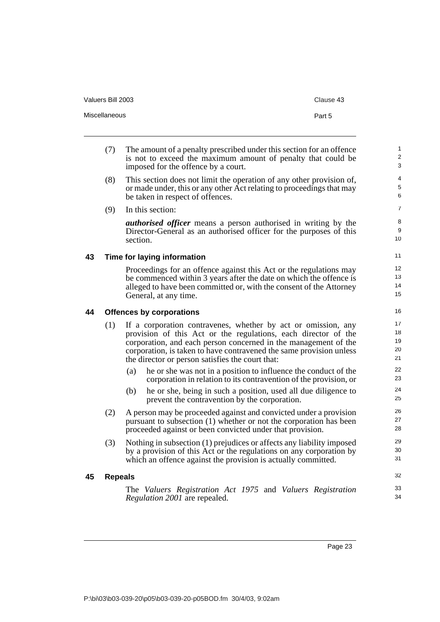| Valuers Bill 2003 | Clause 43 |
|-------------------|-----------|
| Miscellaneous     | Part 5    |

- (7) The amount of a penalty prescribed under this section for an offence is not to exceed the maximum amount of penalty that could be imposed for the offence by a court.
- (8) This section does not limit the operation of any other provision of, or made under, this or any other Act relating to proceedings that may be taken in respect of offences.

(9) In this section:

*authorised officer* means a person authorised in writing by the Director-General as an authorised officer for the purposes of this section.

#### <span id="page-32-0"></span>**43 Time for laying information**

Proceedings for an offence against this Act or the regulations may be commenced within 3 years after the date on which the offence is alleged to have been committed or, with the consent of the Attorney General, at any time.

#### <span id="page-32-1"></span>**44 Offences by corporations**

- (1) If a corporation contravenes, whether by act or omission, any provision of this Act or the regulations, each director of the corporation, and each person concerned in the management of the corporation, is taken to have contravened the same provision unless the director or person satisfies the court that:
	- (a) he or she was not in a position to influence the conduct of the corporation in relation to its contravention of the provision, or
	- (b) he or she, being in such a position, used all due diligence to prevent the contravention by the corporation.
- (2) A person may be proceeded against and convicted under a provision pursuant to subsection (1) whether or not the corporation has been proceeded against or been convicted under that provision.
- (3) Nothing in subsection (1) prejudices or affects any liability imposed by a provision of this Act or the regulations on any corporation by which an offence against the provision is actually committed.

#### <span id="page-32-2"></span>**45 Repeals**

The *Valuers Registration Act 1975* and *Valuers Registration Regulation 2001* are repealed.

32 33 34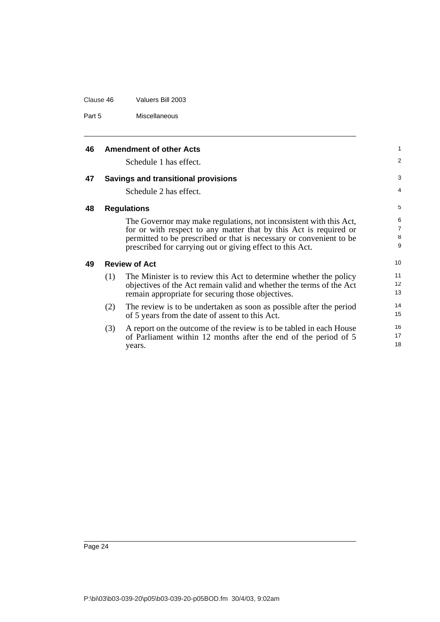| Clause 46 | Valuers Bill 2003 |
|-----------|-------------------|
|           |                   |

Part 5 Miscellaneous

<span id="page-33-3"></span><span id="page-33-2"></span><span id="page-33-1"></span><span id="page-33-0"></span>

| 46 |     | <b>Amendment of other Acts</b>                                      | $\mathbf{1}$   |
|----|-----|---------------------------------------------------------------------|----------------|
|    |     | Schedule 1 has effect.                                              | 2              |
| 47 |     | <b>Savings and transitional provisions</b>                          | 3              |
|    |     | Schedule 2 has effect.                                              | 4              |
| 48 |     | <b>Regulations</b>                                                  | 5              |
|    |     | The Governor may make regulations, not inconsistent with this Act,  | 6              |
|    |     | for or with respect to any matter that by this Act is required or   | $\overline{7}$ |
|    |     | permitted to be prescribed or that is necessary or convenient to be | 8              |
|    |     | prescribed for carrying out or giving effect to this Act.           | 9              |
| 49 |     | <b>Review of Act</b>                                                | 10             |
|    | (1) | The Minister is to review this Act to determine whether the policy  | 11             |
|    |     | objectives of the Act remain valid and whether the terms of the Act | 12             |
|    |     | remain appropriate for securing those objectives.                   | 13             |
|    | (2) | The review is to be undertaken as soon as possible after the period | 14             |
|    |     | of 5 years from the date of assent to this Act.                     | 15             |
|    | (3) | A report on the outcome of the review is to be tabled in each House | 16             |
|    |     | of Parliament within 12 months after the end of the period of 5     | 17             |
|    |     | years.                                                              | 18             |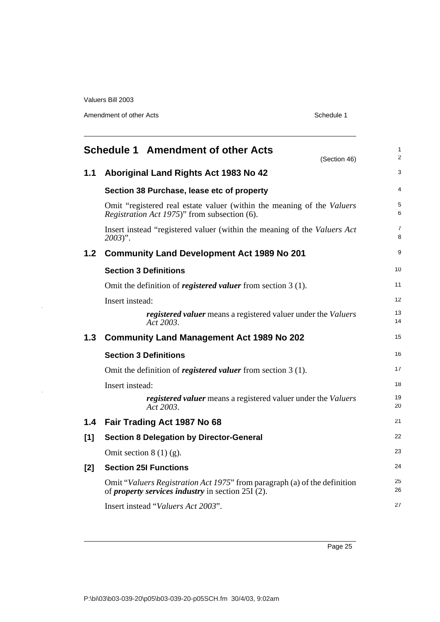$\frac{1}{2}$ 

 $\bar{z}$ 

Amendment of other Acts **Schedule 1** 

<span id="page-34-0"></span>

|                  | <b>Schedule 1 Amendment of other Acts</b><br>(Section 46)                                                                             | $\mathbf{1}$<br>$\overline{2}$ |
|------------------|---------------------------------------------------------------------------------------------------------------------------------------|--------------------------------|
| 1.1              | Aboriginal Land Rights Act 1983 No 42                                                                                                 | 3                              |
|                  | Section 38 Purchase, lease etc of property                                                                                            | 4                              |
|                  | Omit "registered real estate valuer (within the meaning of the Valuers<br>Registration Act 1975)" from subsection (6).                | 5<br>6                         |
|                  | Insert instead "registered valuer (within the meaning of the Valuers Act<br>$2003$ ".                                                 | $\overline{7}$<br>8            |
| 1.2 <sub>2</sub> | <b>Community Land Development Act 1989 No 201</b>                                                                                     | 9                              |
|                  | <b>Section 3 Definitions</b>                                                                                                          | 10                             |
|                  | Omit the definition of <i>registered valuer</i> from section $3(1)$ .                                                                 | 11                             |
|                  | Insert instead:                                                                                                                       | 12                             |
|                  | <i>registered valuer</i> means a registered valuer under the <i>Valuers</i><br>Act 2003.                                              | 13<br>14                       |
| 1.3              | <b>Community Land Management Act 1989 No 202</b>                                                                                      | 15                             |
|                  | <b>Section 3 Definitions</b>                                                                                                          | 16                             |
|                  | Omit the definition of <i>registered valuer</i> from section $3(1)$ .                                                                 | 17                             |
|                  | Insert instead:                                                                                                                       | 18                             |
|                  | registered valuer means a registered valuer under the Valuers<br>Act 2003.                                                            | 19<br>20                       |
| 1.4              | Fair Trading Act 1987 No 68                                                                                                           | 21                             |
| $[1]$            | <b>Section 8 Delegation by Director-General</b>                                                                                       | 22                             |
|                  | Omit section $8(1)(g)$ .                                                                                                              | 23                             |
| [2]              | <b>Section 25I Functions</b>                                                                                                          | 24                             |
|                  | Omit "Valuers Registration Act 1975" from paragraph (a) of the definition<br>of <i>property services industry</i> in section 25I (2). | 25<br>26                       |
|                  | Insert instead "Valuers Act 2003".                                                                                                    | 27                             |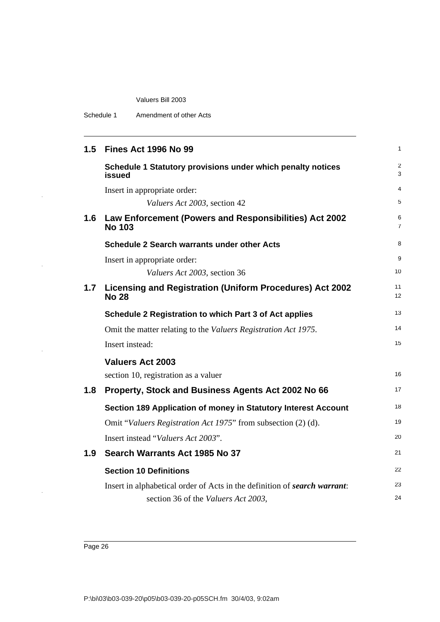| Schedule 1 | Amendment of other Acts |
|------------|-------------------------|
|------------|-------------------------|

 $\bar{z}$ 

 $\hat{\mathcal{A}}$ 

 $\bar{z}$ 

 $\hat{\boldsymbol{\gamma}}$ 

| 1.5 | <b>Fines Act 1996 No 99</b>                                               | $\mathbf{1}$            |
|-----|---------------------------------------------------------------------------|-------------------------|
|     | Schedule 1 Statutory provisions under which penalty notices<br>issued     | $\overline{2}$<br>3     |
|     | Insert in appropriate order:                                              | $\overline{\mathbf{4}}$ |
|     | Valuers Act 2003, section 42                                              | 5                       |
| 1.6 | Law Enforcement (Powers and Responsibilities) Act 2002<br><b>No 103</b>   | 6<br>$\overline{7}$     |
|     | <b>Schedule 2 Search warrants under other Acts</b>                        | 8                       |
|     | Insert in appropriate order:                                              | 9                       |
|     | Valuers Act 2003, section 36                                              | 10                      |
| 1.7 | Licensing and Registration (Uniform Procedures) Act 2002<br><b>No 28</b>  | 11<br>12                |
|     | Schedule 2 Registration to which Part 3 of Act applies                    | 13                      |
|     | Omit the matter relating to the Valuers Registration Act 1975.            | 14                      |
|     | Insert instead:                                                           | 15                      |
|     | <b>Valuers Act 2003</b>                                                   |                         |
|     | section 10, registration as a valuer                                      | 16                      |
| 1.8 | Property, Stock and Business Agents Act 2002 No 66                        | 17                      |
|     | Section 189 Application of money in Statutory Interest Account            | 18                      |
|     | Omit "Valuers Registration Act 1975" from subsection (2) (d).             | 19                      |
|     | Insert instead "Valuers Act 2003".                                        | 20                      |
| 1.9 | Search Warrants Act 1985 No 37                                            | 21                      |
|     | <b>Section 10 Definitions</b>                                             | 22                      |
|     | Insert in alphabetical order of Acts in the definition of search warrant: | 23                      |
|     | section 36 of the Valuers Act 2003,                                       | 24                      |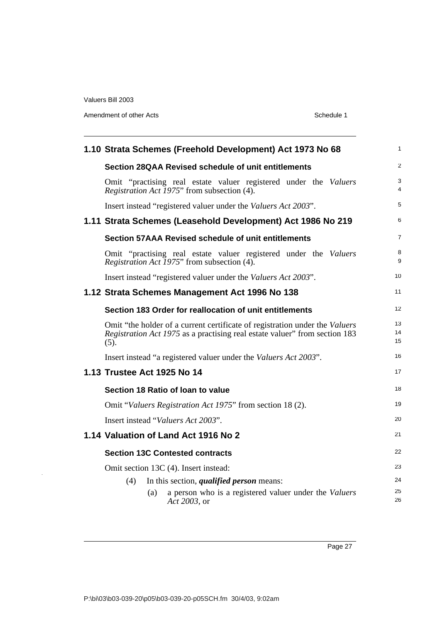l,

Amendment of other Acts **Schedule 1** 

| 1.10 Strata Schemes (Freehold Development) Act 1973 No 68                                                                                                          | $\mathbf{1}$        |
|--------------------------------------------------------------------------------------------------------------------------------------------------------------------|---------------------|
| Section 28QAA Revised schedule of unit entitlements                                                                                                                | $\overline{2}$      |
| Omit "practising real estate valuer registered under the Valuers"<br>Registration Act 1975" from subsection (4).                                                   | 3<br>$\overline{4}$ |
| Insert instead "registered valuer under the Valuers Act 2003".                                                                                                     | 5                   |
| 1.11 Strata Schemes (Leasehold Development) Act 1986 No 219                                                                                                        | 6                   |
| Section 57AAA Revised schedule of unit entitlements                                                                                                                | $\overline{7}$      |
| Omit "practising real estate valuer registered under the Valuers<br><i>Registration Act 1975</i> " from subsection (4).                                            | 8<br>9              |
| Insert instead "registered valuer under the Valuers Act 2003".                                                                                                     | 10                  |
| 1.12 Strata Schemes Management Act 1996 No 138                                                                                                                     | 11                  |
| Section 183 Order for reallocation of unit entitlements                                                                                                            | 12                  |
| Omit "the holder of a current certificate of registration under the Valuers"<br>Registration Act 1975 as a practising real estate valuer" from section 183<br>(5). | 13<br>14<br>15      |
| Insert instead "a registered valuer under the <i>Valuers Act 2003</i> ".                                                                                           | 16                  |
| 1.13 Trustee Act 1925 No 14                                                                                                                                        | 17                  |
| Section 18 Ratio of loan to value                                                                                                                                  | 18                  |
| Omit "Valuers Registration Act 1975" from section 18 (2).                                                                                                          | 19                  |
| Insert instead "Valuers Act 2003".                                                                                                                                 | 20                  |
| 1.14 Valuation of Land Act 1916 No 2                                                                                                                               | 21                  |
| <b>Section 13C Contested contracts</b>                                                                                                                             | 22                  |
| Omit section 13C (4). Insert instead:                                                                                                                              | 23                  |
| In this section, <i>qualified person</i> means:<br>(4)                                                                                                             | 24                  |
| a person who is a registered valuer under the Valuers<br>(a)<br>Act 2003, or                                                                                       | 25<br>26            |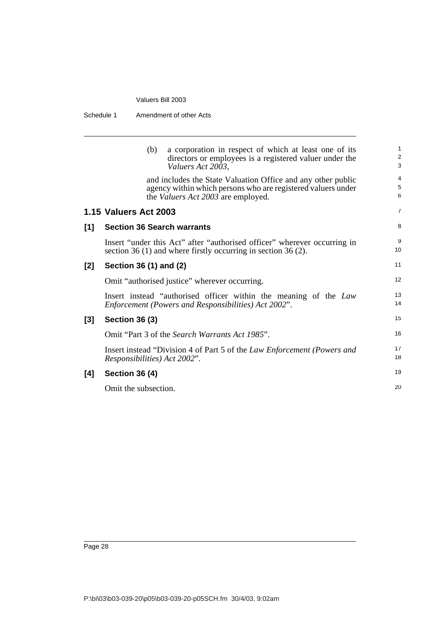| Schedule 1<br>Amendment of other Acts |
|---------------------------------------|
|---------------------------------------|

|       | a corporation in respect of which at least one of its<br>(b)<br>directors or employees is a registered valuer under the<br>Valuers Act 2003,                              | $\mathbf{1}$<br>$\overline{2}$<br>3 |
|-------|---------------------------------------------------------------------------------------------------------------------------------------------------------------------------|-------------------------------------|
|       | and includes the State Valuation Office and any other public<br>agency within which persons who are registered valuers under<br>the <i>Valuers Act 2003</i> are employed. | $\overline{4}$<br>$\mathbf 5$<br>6  |
|       | <b>1.15 Valuers Act 2003</b>                                                                                                                                              | $\overline{7}$                      |
| [1]   | <b>Section 36 Search warrants</b>                                                                                                                                         | 8                                   |
|       | Insert "under this Act" after "authorised officer" wherever occurring in<br>section 36 (1) and where firstly occurring in section 36 (2).                                 | 9<br>10                             |
| [2]   | Section 36 (1) and (2)                                                                                                                                                    | 11                                  |
|       | Omit "authorised justice" wherever occurring.                                                                                                                             | 12                                  |
|       | Insert instead "authorised officer within the meaning of the Law<br>Enforcement (Powers and Responsibilities) Act 2002".                                                  | 13<br>14                            |
| $[3]$ | <b>Section 36 (3)</b>                                                                                                                                                     | 15                                  |
|       | Omit "Part 3 of the Search Warrants Act 1985".                                                                                                                            | 16                                  |
|       | Insert instead "Division 4 of Part 5 of the Law Enforcement (Powers and<br><i>Responsibilities</i> ) Act 2002".                                                           | 17<br>18                            |
| $[4]$ | <b>Section 36 (4)</b>                                                                                                                                                     | 19                                  |
|       | Omit the subsection.                                                                                                                                                      | 20                                  |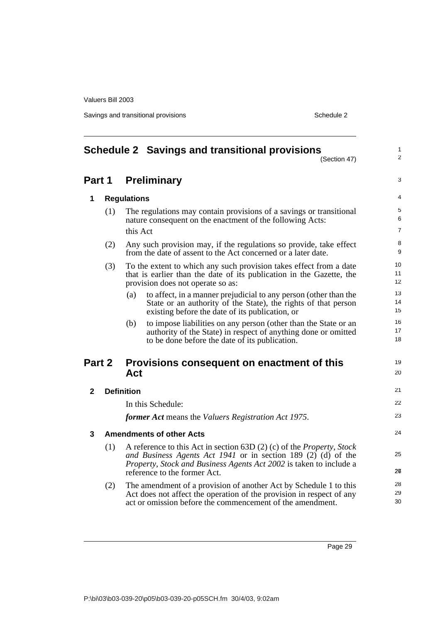Savings and transitional provisions Schedule 2 and Schedule 2

<span id="page-38-0"></span>

|              |                                                             | <b>Schedule 2 Savings and transitional provisions</b><br>(Section 47)                                                                                                                                                                                           | 1<br>$\overline{2}$ |
|--------------|-------------------------------------------------------------|-----------------------------------------------------------------------------------------------------------------------------------------------------------------------------------------------------------------------------------------------------------------|---------------------|
| Part 1       |                                                             | <b>Preliminary</b>                                                                                                                                                                                                                                              | 3                   |
| 1            |                                                             | <b>Regulations</b>                                                                                                                                                                                                                                              | 4                   |
|              | (1)                                                         | The regulations may contain provisions of a savings or transitional<br>nature consequent on the enactment of the following Acts:<br>this Act                                                                                                                    | 5<br>6<br>7         |
|              | (2)                                                         | Any such provision may, if the regulations so provide, take effect<br>from the date of assent to the Act concerned or a later date.                                                                                                                             | 8<br>9              |
|              | (3)                                                         | To the extent to which any such provision takes effect from a date<br>that is earlier than the date of its publication in the Gazette, the<br>provision does not operate so as:                                                                                 | 10<br>11<br>12      |
|              |                                                             | to affect, in a manner prejudicial to any person (other than the<br>(a)<br>State or an authority of the State), the rights of that person<br>existing before the date of its publication, or                                                                    | 13<br>14<br>15      |
|              |                                                             | to impose liabilities on any person (other than the State or an<br>(b)<br>authority of the State) in respect of anything done or omitted<br>to be done before the date of its publication.                                                                      | 16<br>17<br>18      |
|              | Part 2<br>Provisions consequent on enactment of this<br>Act |                                                                                                                                                                                                                                                                 | 19<br>20            |
| $\mathbf{2}$ |                                                             | <b>Definition</b>                                                                                                                                                                                                                                               | 21                  |
|              |                                                             | In this Schedule:                                                                                                                                                                                                                                               | 22                  |
|              |                                                             | former Act means the Valuers Registration Act 1975.                                                                                                                                                                                                             | 23                  |
| 3            |                                                             | <b>Amendments of other Acts</b>                                                                                                                                                                                                                                 | 24                  |
|              | (1)                                                         | A reference to this Act in section 63D $(2)$ (c) of the <i>Property</i> , <i>Stock</i><br>and Business Agents Act 1941 or in section 189 $(2)$ (d) of the<br>Property, Stock and Business Agents Act 2002 is taken to include a<br>reference to the former Act. | 25<br>26            |
|              | (2)                                                         | The amendment of a provision of another Act by Schedule 1 to this<br>Act does not affect the operation of the provision in respect of any<br>act or omission before the commencement of the amendment.                                                          | 28<br>29<br>30      |